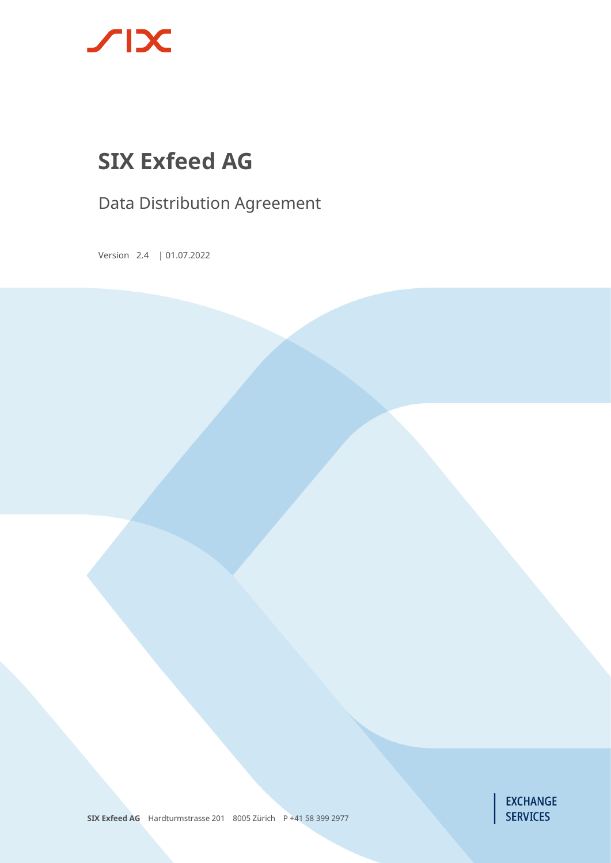

# **SIX Exfeed AG**

Data Distribution Agreement

Version 2.4 | 01.07.2022



**SIX Exfeed AG** Hardturmstrasse 201 8005 Zürich P +41 58 399 2977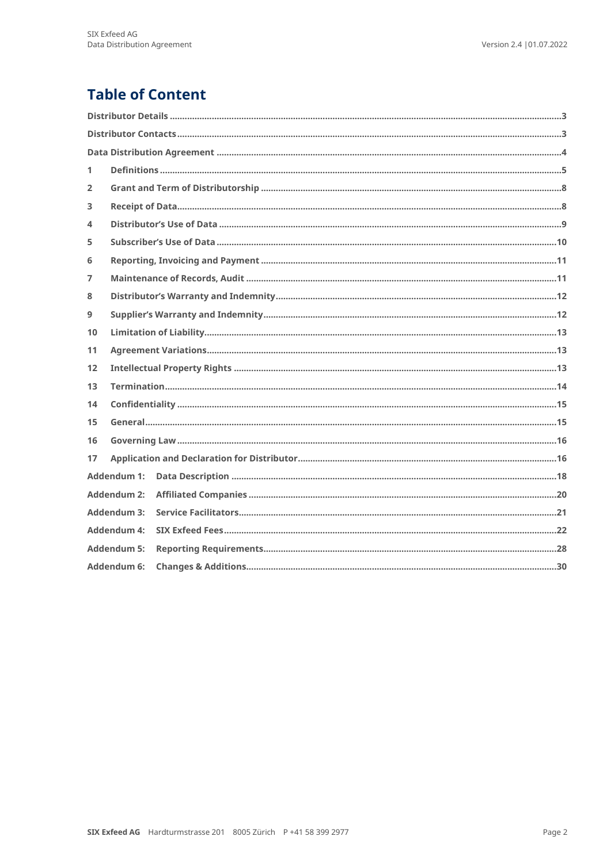## **Table of Content**

| 1  |                    |  |  |
|----|--------------------|--|--|
| 2  |                    |  |  |
| 3  |                    |  |  |
| 4  |                    |  |  |
| 5  |                    |  |  |
| 6  |                    |  |  |
| 7  |                    |  |  |
| 8  |                    |  |  |
| 9  |                    |  |  |
| 10 |                    |  |  |
| 11 |                    |  |  |
| 12 |                    |  |  |
| 13 |                    |  |  |
| 14 |                    |  |  |
| 15 |                    |  |  |
| 16 |                    |  |  |
| 17 |                    |  |  |
|    | <b>Addendum 1:</b> |  |  |
|    | <b>Addendum 2:</b> |  |  |
|    | <b>Addendum 3:</b> |  |  |
|    | <b>Addendum 4:</b> |  |  |
|    | <b>Addendum 5:</b> |  |  |
|    | Addendum 6:        |  |  |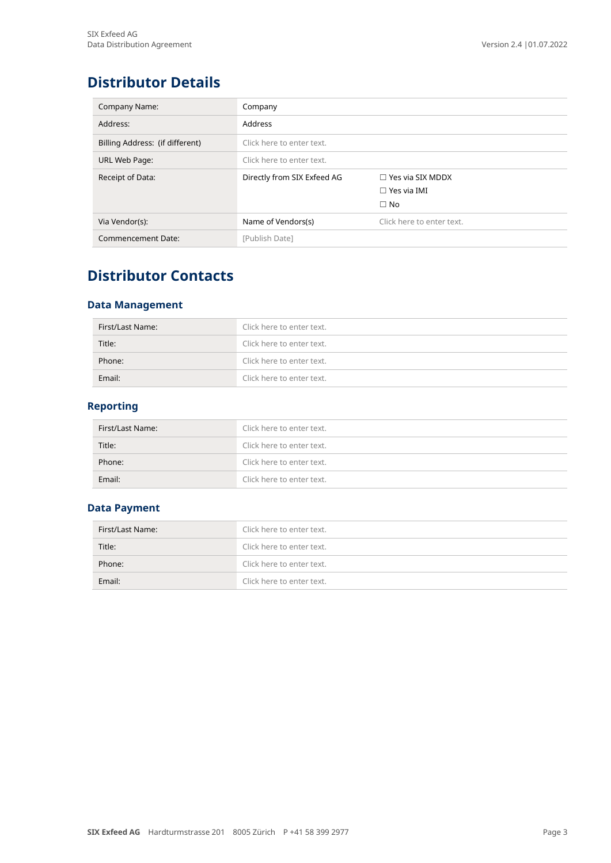## <span id="page-2-0"></span>**Distributor Details**

| Company Name:                   | Company                     |                           |
|---------------------------------|-----------------------------|---------------------------|
| Address:                        | Address                     |                           |
| Billing Address: (if different) | Click here to enter text.   |                           |
| URL Web Page:                   | Click here to enter text.   |                           |
| Receipt of Data:                | Directly from SIX Exfeed AG | $\Box$ Yes via SIX MDDX   |
|                                 |                             | $\Box$ Yes via IMI        |
|                                 |                             | $\Box$ No                 |
| Via Vendor(s):                  | Name of Vendors(s)          | Click here to enter text. |
| Commencement Date:              | [Publish Date]              |                           |

## <span id="page-2-1"></span>**Distributor Contacts**

### **Data Management**

| First/Last Name: | Click here to enter text. |
|------------------|---------------------------|
| Title:           | Click here to enter text. |
| Phone:           | Click here to enter text. |
| Email:           | Click here to enter text. |

### **Reporting**

| First/Last Name: | Click here to enter text. |
|------------------|---------------------------|
| Title:           | Click here to enter text. |
| Phone:           | Click here to enter text. |
| Email:           | Click here to enter text. |

### **Data Payment**

| First/Last Name: | Click here to enter text. |
|------------------|---------------------------|
| Title:           | Click here to enter text. |
| Phone:           | Click here to enter text. |
| Email:           | Click here to enter text. |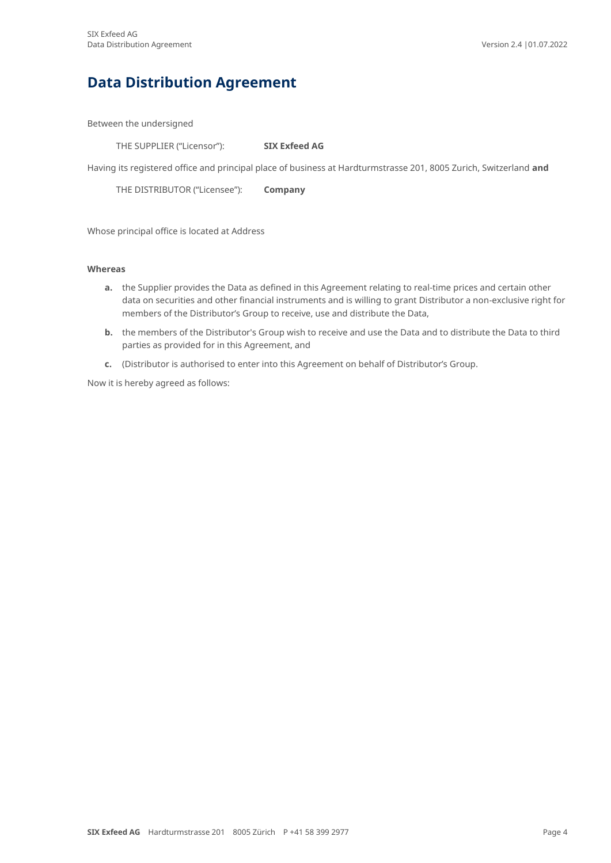## <span id="page-3-0"></span>**Data Distribution Agreement**

Between the undersigned

THE SUPPLIER ("Licensor"): **SIX Exfeed AG**

Having its registered office and principal place of business at Hardturmstrasse 201, 8005 Zurich, Switzerland **and**

THE DISTRIBUTOR ("Licensee"): **Company**

Whose principal office is located at Address

#### **Whereas**

- **a.** the Supplier provides the Data as defined in this Agreement relating to real-time prices and certain other data on securities and other financial instruments and is willing to grant Distributor a non-exclusive right for members of the Distributor's Group to receive, use and distribute the Data,
- **b.** the members of the Distributor's Group wish to receive and use the Data and to distribute the Data to third parties as provided for in this Agreement, and
- **c.** (Distributor is authorised to enter into this Agreement on behalf of Distributor's Group.

Now it is hereby agreed as follows: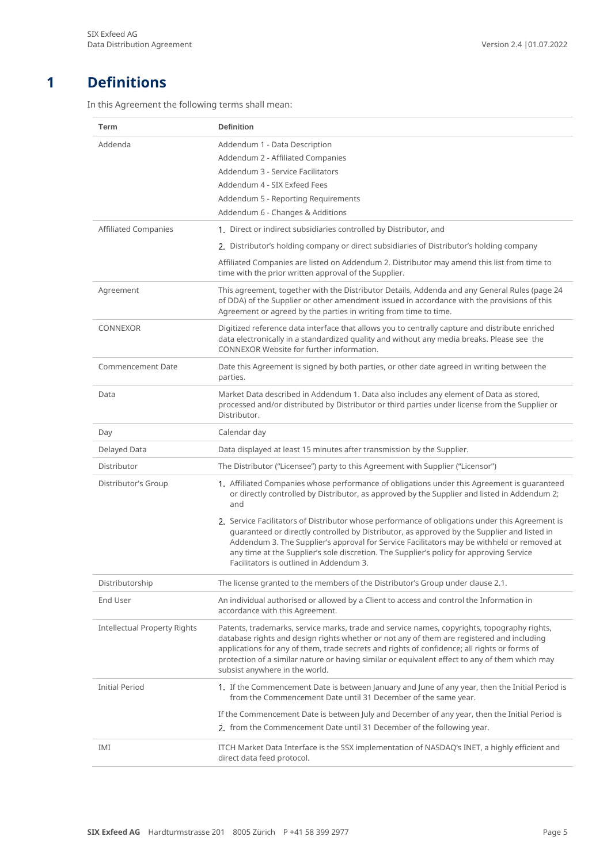### **1 Definitions**

<span id="page-4-0"></span>In this Agreement the following terms shall mean:

| Term                                | <b>Definition</b>                                                                                                                                                                                                                                                                                                                                                                                                                  |
|-------------------------------------|------------------------------------------------------------------------------------------------------------------------------------------------------------------------------------------------------------------------------------------------------------------------------------------------------------------------------------------------------------------------------------------------------------------------------------|
| Addenda                             | Addendum 1 - Data Description                                                                                                                                                                                                                                                                                                                                                                                                      |
|                                     | Addendum 2 - Affiliated Companies                                                                                                                                                                                                                                                                                                                                                                                                  |
|                                     | Addendum 3 - Service Facilitators                                                                                                                                                                                                                                                                                                                                                                                                  |
|                                     | Addendum 4 - SIX Exfeed Fees                                                                                                                                                                                                                                                                                                                                                                                                       |
|                                     | Addendum 5 - Reporting Requirements                                                                                                                                                                                                                                                                                                                                                                                                |
|                                     | Addendum 6 - Changes & Additions                                                                                                                                                                                                                                                                                                                                                                                                   |
| <b>Affiliated Companies</b>         | 1. Direct or indirect subsidiaries controlled by Distributor, and                                                                                                                                                                                                                                                                                                                                                                  |
|                                     | 2. Distributor's holding company or direct subsidiaries of Distributor's holding company                                                                                                                                                                                                                                                                                                                                           |
|                                     | Affiliated Companies are listed on Addendum 2. Distributor may amend this list from time to<br>time with the prior written approval of the Supplier.                                                                                                                                                                                                                                                                               |
| Agreement                           | This agreement, together with the Distributor Details, Addenda and any General Rules (page 24<br>of DDA) of the Supplier or other amendment issued in accordance with the provisions of this<br>Agreement or agreed by the parties in writing from time to time.                                                                                                                                                                   |
| <b>CONNEXOR</b>                     | Digitized reference data interface that allows you to centrally capture and distribute enriched<br>data electronically in a standardized quality and without any media breaks. Please see the<br>CONNEXOR Website for further information.                                                                                                                                                                                         |
| <b>Commencement Date</b>            | Date this Agreement is signed by both parties, or other date agreed in writing between the<br>parties.                                                                                                                                                                                                                                                                                                                             |
| Data                                | Market Data described in Addendum 1. Data also includes any element of Data as stored,<br>processed and/or distributed by Distributor or third parties under license from the Supplier or<br>Distributor.                                                                                                                                                                                                                          |
| Day                                 | Calendar day                                                                                                                                                                                                                                                                                                                                                                                                                       |
| Delayed Data                        | Data displayed at least 15 minutes after transmission by the Supplier.                                                                                                                                                                                                                                                                                                                                                             |
| Distributor                         | The Distributor ("Licensee") party to this Agreement with Supplier ("Licensor")                                                                                                                                                                                                                                                                                                                                                    |
| Distributor's Group                 | 1. Affiliated Companies whose performance of obligations under this Agreement is guaranteed<br>or directly controlled by Distributor, as approved by the Supplier and listed in Addendum 2;<br>and                                                                                                                                                                                                                                 |
|                                     | 2. Service Facilitators of Distributor whose performance of obligations under this Agreement is<br>guaranteed or directly controlled by Distributor, as approved by the Supplier and listed in<br>Addendum 3. The Supplier's approval for Service Facilitators may be withheld or removed at<br>any time at the Supplier's sole discretion. The Supplier's policy for approving Service<br>Facilitators is outlined in Addendum 3. |
| Distributorship                     | The license granted to the members of the Distributor's Group under clause 2.1.                                                                                                                                                                                                                                                                                                                                                    |
| End User                            | An individual authorised or allowed by a Client to access and control the Information in<br>accordance with this Agreement.                                                                                                                                                                                                                                                                                                        |
| <b>Intellectual Property Rights</b> | Patents, trademarks, service marks, trade and service names, copyrights, topography rights,<br>database rights and design rights whether or not any of them are registered and including<br>applications for any of them, trade secrets and rights of confidence; all rights or forms of<br>protection of a similar nature or having similar or equivalent effect to any of them which may<br>subsist anywhere in the world.       |
| <b>Initial Period</b>               | 1. If the Commencement Date is between January and June of any year, then the Initial Period is<br>from the Commencement Date until 31 December of the same year.                                                                                                                                                                                                                                                                  |
|                                     | If the Commencement Date is between July and December of any year, then the Initial Period is                                                                                                                                                                                                                                                                                                                                      |
|                                     | 2. from the Commencement Date until 31 December of the following year.                                                                                                                                                                                                                                                                                                                                                             |
| IMI                                 | ITCH Market Data Interface is the SSX implementation of NASDAQ's INET, a highly efficient and<br>direct data feed protocol.                                                                                                                                                                                                                                                                                                        |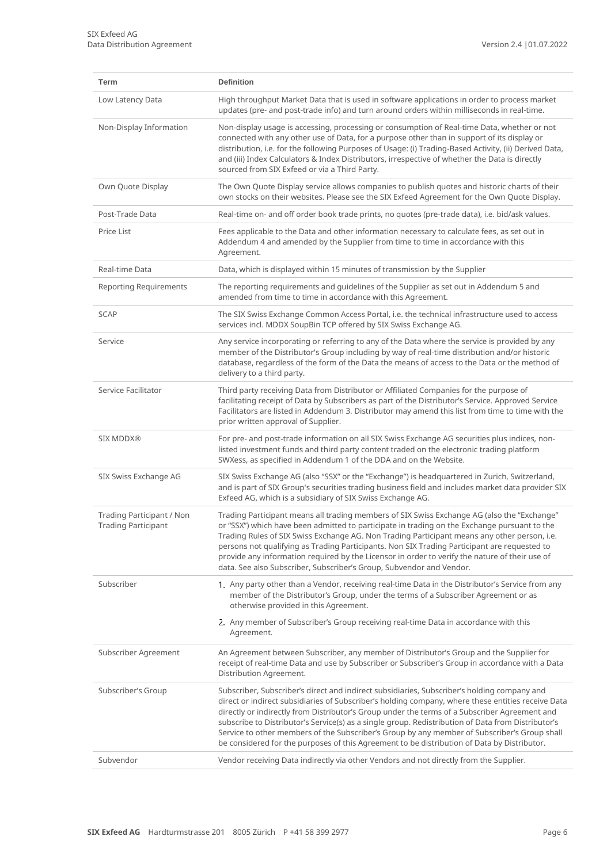| <b>Term</b>                                             | <b>Definition</b>                                                                                                                                                                                                                                                                                                                                                                                                                                                                                                                                                                                       |
|---------------------------------------------------------|---------------------------------------------------------------------------------------------------------------------------------------------------------------------------------------------------------------------------------------------------------------------------------------------------------------------------------------------------------------------------------------------------------------------------------------------------------------------------------------------------------------------------------------------------------------------------------------------------------|
| Low Latency Data                                        | High throughput Market Data that is used in software applications in order to process market<br>updates (pre- and post-trade info) and turn around orders within milliseconds in real-time.                                                                                                                                                                                                                                                                                                                                                                                                             |
| Non-Display Information                                 | Non-display usage is accessing, processing or consumption of Real-time Data, whether or not<br>connected with any other use of Data, for a purpose other than in support of its display or<br>distribution, i.e. for the following Purposes of Usage: (i) Trading-Based Activity, (ii) Derived Data,<br>and (iii) Index Calculators & Index Distributors, irrespective of whether the Data is directly<br>sourced from SIX Exfeed or via a Third Party.                                                                                                                                                 |
| Own Quote Display                                       | The Own Quote Display service allows companies to publish quotes and historic charts of their<br>own stocks on their websites. Please see the SIX Exfeed Agreement for the Own Quote Display.                                                                                                                                                                                                                                                                                                                                                                                                           |
| Post-Trade Data                                         | Real-time on- and off order book trade prints, no quotes (pre-trade data), i.e. bid/ask values.                                                                                                                                                                                                                                                                                                                                                                                                                                                                                                         |
| Price List                                              | Fees applicable to the Data and other information necessary to calculate fees, as set out in<br>Addendum 4 and amended by the Supplier from time to time in accordance with this<br>Agreement.                                                                                                                                                                                                                                                                                                                                                                                                          |
| Real-time Data                                          | Data, which is displayed within 15 minutes of transmission by the Supplier                                                                                                                                                                                                                                                                                                                                                                                                                                                                                                                              |
| <b>Reporting Requirements</b>                           | The reporting requirements and guidelines of the Supplier as set out in Addendum 5 and<br>amended from time to time in accordance with this Agreement.                                                                                                                                                                                                                                                                                                                                                                                                                                                  |
| <b>SCAP</b>                                             | The SIX Swiss Exchange Common Access Portal, i.e. the technical infrastructure used to access<br>services incl. MDDX SoupBin TCP offered by SIX Swiss Exchange AG.                                                                                                                                                                                                                                                                                                                                                                                                                                      |
| Service                                                 | Any service incorporating or referring to any of the Data where the service is provided by any<br>member of the Distributor's Group including by way of real-time distribution and/or historic<br>database, regardless of the form of the Data the means of access to the Data or the method of<br>delivery to a third party.                                                                                                                                                                                                                                                                           |
| Service Facilitator                                     | Third party receiving Data from Distributor or Affiliated Companies for the purpose of<br>facilitating receipt of Data by Subscribers as part of the Distributor's Service. Approved Service<br>Facilitators are listed in Addendum 3. Distributor may amend this list from time to time with the<br>prior written approval of Supplier.                                                                                                                                                                                                                                                                |
| <b>SIX MDDX®</b>                                        | For pre- and post-trade information on all SIX Swiss Exchange AG securities plus indices, non-<br>listed investment funds and third party content traded on the electronic trading platform<br>SWXess, as specified in Addendum 1 of the DDA and on the Website.                                                                                                                                                                                                                                                                                                                                        |
| SIX Swiss Exchange AG                                   | SIX Swiss Exchange AG (also "SSX" or the "Exchange") is headquartered in Zurich, Switzerland,<br>and is part of SIX Group's securities trading business field and includes market data provider SIX<br>Exfeed AG, which is a subsidiary of SIX Swiss Exchange AG.                                                                                                                                                                                                                                                                                                                                       |
| Trading Participant / Non<br><b>Trading Participant</b> | Trading Participant means all trading members of SIX Swiss Exchange AG (also the "Exchange"<br>or "SSX") which have been admitted to participate in trading on the Exchange pursuant to the<br>Trading Rules of SIX Swiss Exchange AG. Non Trading Participant means any other person, i.e.<br>persons not qualifying as Trading Participants. Non SIX Trading Participant are requested to<br>provide any information required by the Licensor in order to verify the nature of their use of<br>data. See also Subscriber, Subscriber's Group, Subvendor and Vendor.                                   |
| Subscriber                                              | 1. Any party other than a Vendor, receiving real-time Data in the Distributor's Service from any<br>member of the Distributor's Group, under the terms of a Subscriber Agreement or as<br>otherwise provided in this Agreement.                                                                                                                                                                                                                                                                                                                                                                         |
|                                                         | 2. Any member of Subscriber's Group receiving real-time Data in accordance with this<br>Agreement.                                                                                                                                                                                                                                                                                                                                                                                                                                                                                                      |
| Subscriber Agreement                                    | An Agreement between Subscriber, any member of Distributor's Group and the Supplier for<br>receipt of real-time Data and use by Subscriber or Subscriber's Group in accordance with a Data<br>Distribution Agreement.                                                                                                                                                                                                                                                                                                                                                                                   |
| Subscriber's Group                                      | Subscriber, Subscriber's direct and indirect subsidiaries, Subscriber's holding company and<br>direct or indirect subsidiaries of Subscriber's holding company, where these entities receive Data<br>directly or indirectly from Distributor's Group under the terms of a Subscriber Agreement and<br>subscribe to Distributor's Service(s) as a single group. Redistribution of Data from Distributor's<br>Service to other members of the Subscriber's Group by any member of Subscriber's Group shall<br>be considered for the purposes of this Agreement to be distribution of Data by Distributor. |
| Subvendor                                               | Vendor receiving Data indirectly via other Vendors and not directly from the Supplier.                                                                                                                                                                                                                                                                                                                                                                                                                                                                                                                  |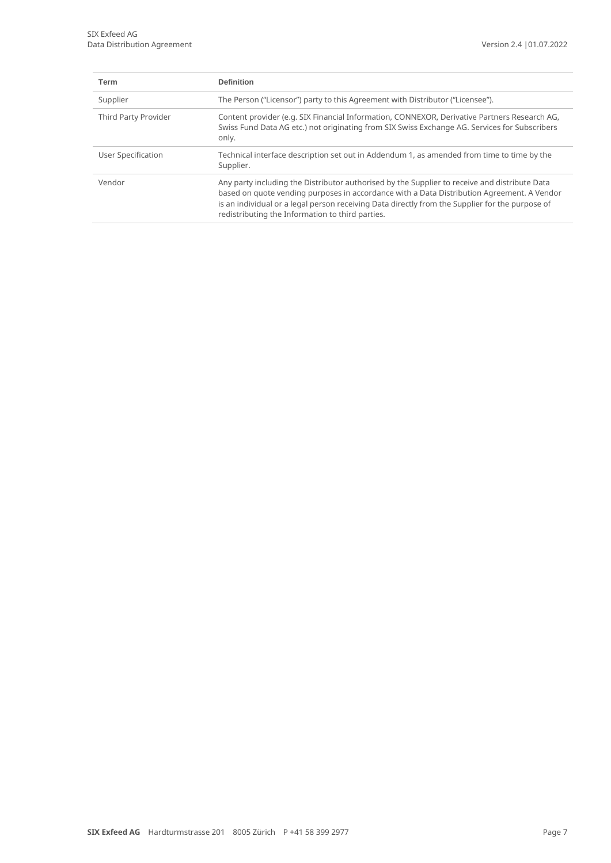| <b>Term</b>          | <b>Definition</b>                                                                                                                                                                                                                                                                                                                                  |
|----------------------|----------------------------------------------------------------------------------------------------------------------------------------------------------------------------------------------------------------------------------------------------------------------------------------------------------------------------------------------------|
| Supplier             | The Person ("Licensor") party to this Agreement with Distributor ("Licensee").                                                                                                                                                                                                                                                                     |
| Third Party Provider | Content provider (e.g. SIX Financial Information, CONNEXOR, Derivative Partners Research AG,<br>Swiss Fund Data AG etc.) not originating from SIX Swiss Exchange AG. Services for Subscribers<br>only.                                                                                                                                             |
| User Specification   | Technical interface description set out in Addendum 1, as amended from time to time by the<br>Supplier.                                                                                                                                                                                                                                            |
| Vendor               | Any party including the Distributor authorised by the Supplier to receive and distribute Data<br>based on quote vending purposes in accordance with a Data Distribution Agreement. A Vendor<br>is an individual or a legal person receiving Data directly from the Supplier for the purpose of<br>redistributing the Information to third parties. |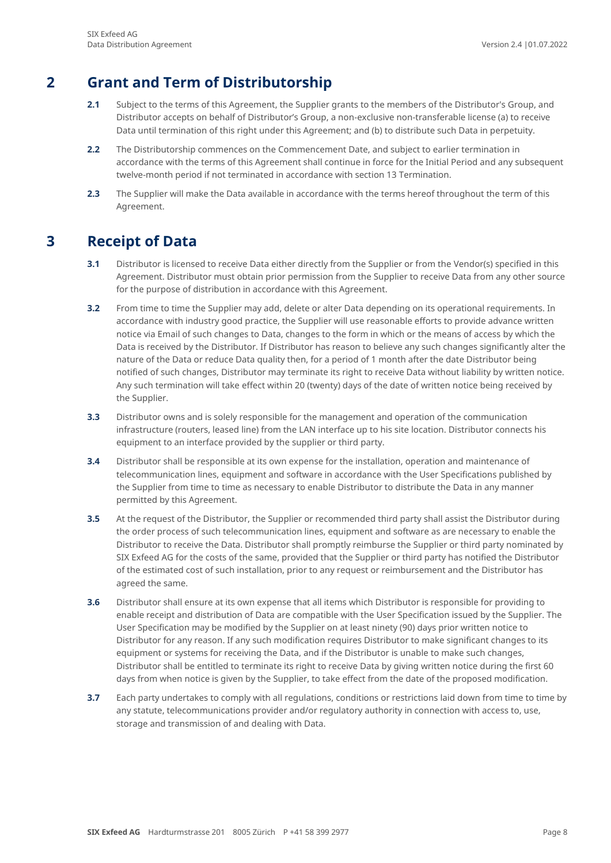### **2 Grant and Term of Distributorship**

- <span id="page-7-0"></span>**2.1** Subject to the terms of this Agreement, the Supplier grants to the members of the Distributor's Group, and Distributor accepts on behalf of Distributor's Group, a non-exclusive non-transferable license (a) to receive Data until termination of this right under this Agreement; and (b) to distribute such Data in perpetuity.
- **2.2** The Distributorship commences on the Commencement Date, and subject to earlier termination in accordance with the terms of this Agreement shall continue in force for the Initial Period and any subsequent twelve-month period if not terminated in accordance with section 13 Termination.
- <span id="page-7-1"></span>**2.3** The Supplier will make the Data available in accordance with the terms hereof throughout the term of this Agreement.

### **3 Receipt of Data**

- **3.1** Distributor is licensed to receive Data either directly from the Supplier or from the Vendor(s) specified in this Agreement. Distributor must obtain prior permission from the Supplier to receive Data from any other source for the purpose of distribution in accordance with this Agreement.
- **3.2** From time to time the Supplier may add, delete or alter Data depending on its operational requirements. In accordance with industry good practice, the Supplier will use reasonable efforts to provide advance written notice via Email of such changes to Data, changes to the form in which or the means of access by which the Data is received by the Distributor. If Distributor has reason to believe any such changes significantly alter the nature of the Data or reduce Data quality then, for a period of 1 month after the date Distributor being notified of such changes, Distributor may terminate its right to receive Data without liability by written notice. Any such termination will take effect within 20 (twenty) days of the date of written notice being received by the Supplier.
- **3.3** Distributor owns and is solely responsible for the management and operation of the communication infrastructure (routers, leased line) from the LAN interface up to his site location. Distributor connects his equipment to an interface provided by the supplier or third party.
- **3.4** Distributor shall be responsible at its own expense for the installation, operation and maintenance of telecommunication lines, equipment and software in accordance with the User Specifications published by the Supplier from time to time as necessary to enable Distributor to distribute the Data in any manner permitted by this Agreement.
- **3.5** At the request of the Distributor, the Supplier or recommended third party shall assist the Distributor during the order process of such telecommunication lines, equipment and software as are necessary to enable the Distributor to receive the Data. Distributor shall promptly reimburse the Supplier or third party nominated by SIX Exfeed AG for the costs of the same, provided that the Supplier or third party has notified the Distributor of the estimated cost of such installation, prior to any request or reimbursement and the Distributor has agreed the same.
- **3.6** Distributor shall ensure at its own expense that all items which Distributor is responsible for providing to enable receipt and distribution of Data are compatible with the User Specification issued by the Supplier. The User Specification may be modified by the Supplier on at least ninety (90) days prior written notice to Distributor for any reason. If any such modification requires Distributor to make significant changes to its equipment or systems for receiving the Data, and if the Distributor is unable to make such changes, Distributor shall be entitled to terminate its right to receive Data by giving written notice during the first 60 days from when notice is given by the Supplier, to take effect from the date of the proposed modification.
- **3.7** Each party undertakes to comply with all regulations, conditions or restrictions laid down from time to time by any statute, telecommunications provider and/or regulatory authority in connection with access to, use, storage and transmission of and dealing with Data.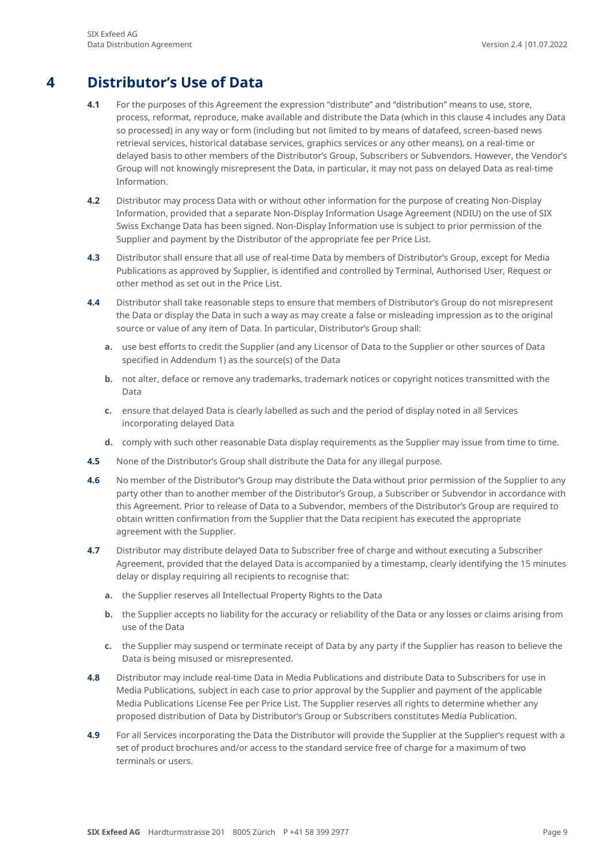## **4 Distributor's Use of Data**

- <span id="page-8-0"></span>**4.1** For the purposes of this Agreement the expression "distribute" and "distribution" means to use, store, process, reformat, reproduce, make available and distribute the Data (which in this clause 4 includes any Data so processed) in any way or form (including but not limited to by means of datafeed, screen-based news retrieval services, historical database services, graphics services or any other means), on a real-time or delayed basis to other members of the Distributor's Group, Subscribers or Subvendors. However, the Vendor's Group will not knowingly misrepresent the Data, in particular, it may not pass on delayed Data as real-time Information.
- **4.2** Distributor may process Data with or without other information for the purpose of creating Non-Display Information, provided that a separate Non-Display Information Usage Agreement (NDIU) on the use of SIX Swiss Exchange Data has been signed. Non-Display Information use is subject to prior permission of the Supplier and payment by the Distributor of the appropriate fee per Price List.
- **4.3** Distributor shall ensure that all use of real-time Data by members of Distributor's Group, except for Media Publications as approved by Supplier, is identified and controlled by Terminal, Authorised User, Request or other method as set out in the Price List.
- **4.4** Distributor shall take reasonable steps to ensure that members of Distributor's Group do not misrepresent the Data or display the Data in such a way as may create a false or misleading impression as to the original source or value of any item of Data. In particular, Distributor's Group shall:
	- **a.** use best efforts to credit the Supplier (and any Licensor of Data to the Supplier or other sources of Data specified in Addendum 1) as the source(s) of the Data
	- **b.** not alter, deface or remove any trademarks, trademark notices or copyright notices transmitted with the Data
	- **c.** ensure that delayed Data is clearly labelled as such and the period of display noted in all Services incorporating delayed Data
	- **d.** comply with such other reasonable Data display requirements as the Supplier may issue from time to time.
- **4.5** None of the Distributor's Group shall distribute the Data for any illegal purpose.
- **4.6** No member of the Distributor's Group may distribute the Data without prior permission of the Supplier to any party other than to another member of the Distributor's Group, a Subscriber or Subvendor in accordance with this Agreement. Prior to release of Data to a Subvendor, members of the Distributor's Group are required to obtain written confirmation from the Supplier that the Data recipient has executed the appropriate agreement with the Supplier.
- **4.7** Distributor may distribute delayed Data to Subscriber free of charge and without executing a Subscriber Agreement, provided that the delayed Data is accompanied by a timestamp, clearly identifying the 15 minutes delay or display requiring all recipients to recognise that:
	- **a.** the Supplier reserves all Intellectual Property Rights to the Data
	- **b.** the Supplier accepts no liability for the accuracy or reliability of the Data or any losses or claims arising from use of the Data
	- **c.** the Supplier may suspend or terminate receipt of Data by any party if the Supplier has reason to believe the Data is being misused or misrepresented.
- **4.8** Distributor may include real-time Data in Media Publications and distribute Data to Subscribers for use in Media Publications, subject in each case to prior approval by the Supplier and payment of the applicable Media Publications License Fee per Price List. The Supplier reserves all rights to determine whether any proposed distribution of Data by Distributor's Group or Subscribers constitutes Media Publication.
- **4.9** For all Services incorporating the Data the Distributor will provide the Supplier at the Supplier's request with a set of product brochures and/or access to the standard service free of charge for a maximum of two terminals or users.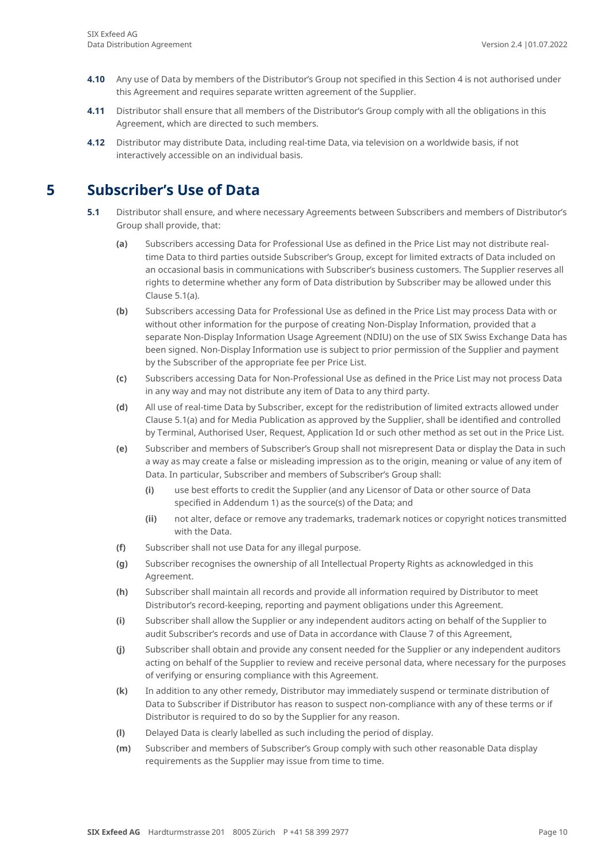- **4.10** Any use of Data by members of the Distributor's Group not specified in this Section 4 is not authorised under this Agreement and requires separate written agreement of the Supplier.
- **4.11** Distributor shall ensure that all members of the Distributor's Group comply with all the obligations in this Agreement, which are directed to such members.
- <span id="page-9-0"></span>**4.12** Distributor may distribute Data, including real-time Data, via television on a worldwide basis, if not interactively accessible on an individual basis.

### **5 Subscriber's Use of Data**

- **5.1** Distributor shall ensure, and where necessary Agreements between Subscribers and members of Distributor's Group shall provide, that:
	- **(a)** Subscribers accessing Data for Professional Use as defined in the Price List may not distribute realtime Data to third parties outside Subscriber's Group, except for limited extracts of Data included on an occasional basis in communications with Subscriber's business customers. The Supplier reserves all rights to determine whether any form of Data distribution by Subscriber may be allowed under this Clause 5.1(a).
	- **(b)** Subscribers accessing Data for Professional Use as defined in the Price List may process Data with or without other information for the purpose of creating Non-Display Information, provided that a separate Non-Display Information Usage Agreement (NDIU) on the use of SIX Swiss Exchange Data has been signed. Non-Display Information use is subject to prior permission of the Supplier and payment by the Subscriber of the appropriate fee per Price List.
	- **(c)** Subscribers accessing Data for Non-Professional Use as defined in the Price List may not process Data in any way and may not distribute any item of Data to any third party.
	- **(d)** All use of real-time Data by Subscriber, except for the redistribution of limited extracts allowed under Clause 5.1(a) and for Media Publication as approved by the Supplier, shall be identified and controlled by Terminal, Authorised User, Request, Application Id or such other method as set out in the Price List.
	- **(e)** Subscriber and members of Subscriber's Group shall not misrepresent Data or display the Data in such a way as may create a false or misleading impression as to the origin, meaning or value of any item of Data. In particular, Subscriber and members of Subscriber's Group shall:
		- **(i)** use best efforts to credit the Supplier (and any Licensor of Data or other source of Data specified in Addendum 1) as the source(s) of the Data; and
		- **(ii)** not alter, deface or remove any trademarks, trademark notices or copyright notices transmitted with the Data.
	- **(f)** Subscriber shall not use Data for any illegal purpose.
	- **(g)** Subscriber recognises the ownership of all Intellectual Property Rights as acknowledged in this Agreement.
	- **(h)** Subscriber shall maintain all records and provide all information required by Distributor to meet Distributor's record-keeping, reporting and payment obligations under this Agreement.
	- **(i)** Subscriber shall allow the Supplier or any independent auditors acting on behalf of the Supplier to audit Subscriber's records and use of Data in accordance with Clause 7 of this Agreement,
	- **(j)** Subscriber shall obtain and provide any consent needed for the Supplier or any independent auditors acting on behalf of the Supplier to review and receive personal data, where necessary for the purposes of verifying or ensuring compliance with this Agreement.
	- **(k)** In addition to any other remedy, Distributor may immediately suspend or terminate distribution of Data to Subscriber if Distributor has reason to suspect non-compliance with any of these terms or if Distributor is required to do so by the Supplier for any reason.
	- **(l)** Delayed Data is clearly labelled as such including the period of display.
	- **(m)** Subscriber and members of Subscriber's Group comply with such other reasonable Data display requirements as the Supplier may issue from time to time.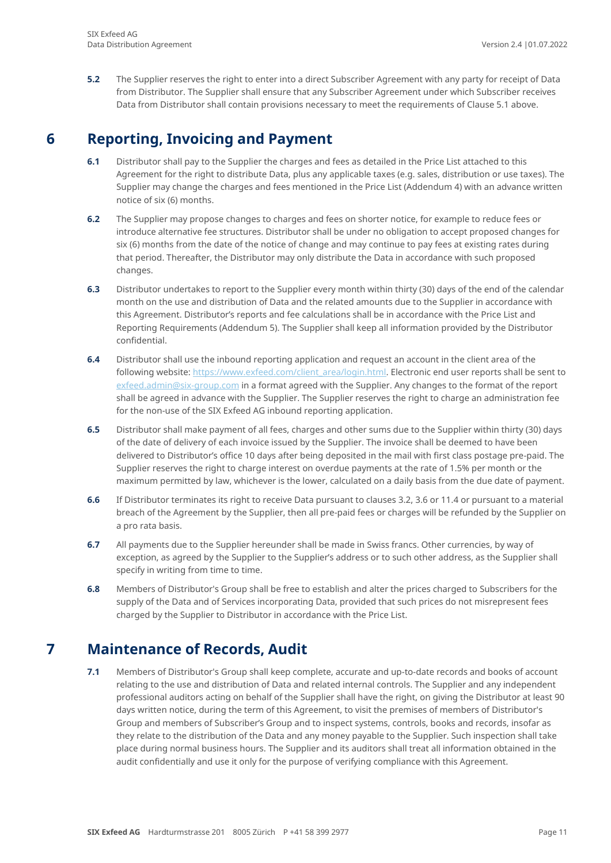**5.2** The Supplier reserves the right to enter into a direct Subscriber Agreement with any party for receipt of Data from Distributor. The Supplier shall ensure that any Subscriber Agreement under which Subscriber receives Data from Distributor shall contain provisions necessary to meet the requirements of Clause 5.1 above.

### **6 Reporting, Invoicing and Payment**

- <span id="page-10-0"></span>**6.1** Distributor shall pay to the Supplier the charges and fees as detailed in the Price List attached to this Agreement for the right to distribute Data, plus any applicable taxes (e.g. sales, distribution or use taxes). The Supplier may change the charges and fees mentioned in the Price List (Addendum 4) with an advance written notice of six (6) months.
- **6.2** The Supplier may propose changes to charges and fees on shorter notice, for example to reduce fees or introduce alternative fee structures. Distributor shall be under no obligation to accept proposed changes for six (6) months from the date of the notice of change and may continue to pay fees at existing rates during that period. Thereafter, the Distributor may only distribute the Data in accordance with such proposed changes.
- **6.3** Distributor undertakes to report to the Supplier every month within thirty (30) days of the end of the calendar month on the use and distribution of Data and the related amounts due to the Supplier in accordance with this Agreement. Distributor's reports and fee calculations shall be in accordance with the Price List and Reporting Requirements (Addendum 5). The Supplier shall keep all information provided by the Distributor confidential.
- **6.4** Distributor shall use the inbound reporting application and request an account in the client area of the following website: [https://www.exfeed.com/client\\_area/login.html.](https://www.exfeed.com/client_area/login.html) Electronic end user reports shall be sent to [exfeed.admin@six-group.com](mailto:exfeed.admin@six-group.com) in a format agreed with the Supplier. Any changes to the format of the report shall be agreed in advance with the Supplier. The Supplier reserves the right to charge an administration fee for the non-use of the SIX Exfeed AG inbound reporting application.
- **6.5** Distributor shall make payment of all fees, charges and other sums due to the Supplier within thirty (30) days of the date of delivery of each invoice issued by the Supplier. The invoice shall be deemed to have been delivered to Distributor's office 10 days after being deposited in the mail with first class postage pre-paid. The Supplier reserves the right to charge interest on overdue payments at the rate of 1.5% per month or the maximum permitted by law, whichever is the lower, calculated on a daily basis from the due date of payment.
- **6.6** If Distributor terminates its right to receive Data pursuant to clauses 3.2, 3.6 or 11.4 or pursuant to a material breach of the Agreement by the Supplier, then all pre-paid fees or charges will be refunded by the Supplier on a pro rata basis.
- **6.7** All payments due to the Supplier hereunder shall be made in Swiss francs. Other currencies, by way of exception, as agreed by the Supplier to the Supplier's address or to such other address, as the Supplier shall specify in writing from time to time.
- **6.8** Members of Distributor's Group shall be free to establish and alter the prices charged to Subscribers for the supply of the Data and of Services incorporating Data, provided that such prices do not misrepresent fees charged by the Supplier to Distributor in accordance with the Price List.

### **7 Maintenance of Records, Audit**

<span id="page-10-1"></span>**7.1** Members of Distributor's Group shall keep complete, accurate and up-to-date records and books of account relating to the use and distribution of Data and related internal controls. The Supplier and any independent professional auditors acting on behalf of the Supplier shall have the right, on giving the Distributor at least 90 days written notice, during the term of this Agreement, to visit the premises of members of Distributor's Group and members of Subscriber's Group and to inspect systems, controls, books and records, insofar as they relate to the distribution of the Data and any money payable to the Supplier. Such inspection shall take place during normal business hours. The Supplier and its auditors shall treat all information obtained in the audit confidentially and use it only for the purpose of verifying compliance with this Agreement.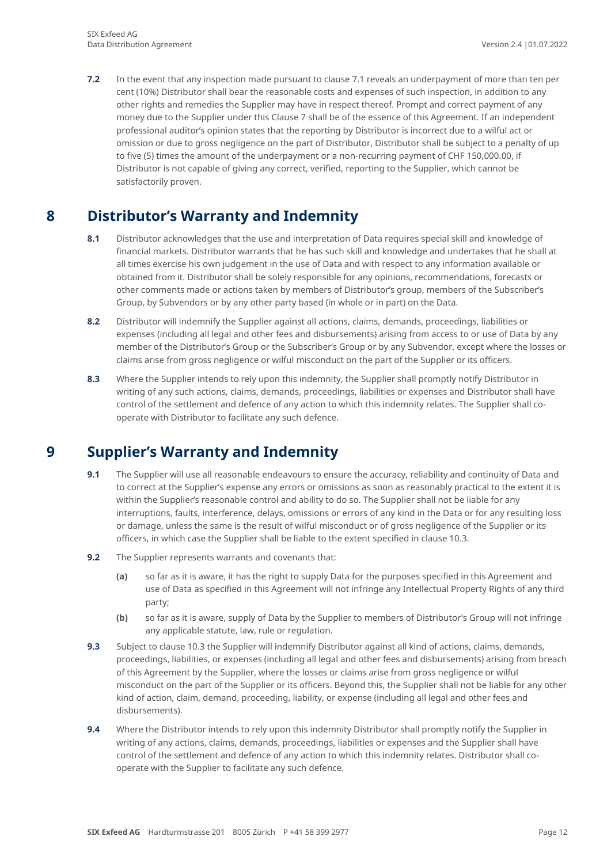**7.2** In the event that any inspection made pursuant to clause 7.1 reveals an underpayment of more than ten per cent (10%) Distributor shall bear the reasonable costs and expenses of such inspection, in addition to any other rights and remedies the Supplier may have in respect thereof. Prompt and correct payment of any money due to the Supplier under this Clause 7 shall be of the essence of this Agreement. If an independent professional auditor's opinion states that the reporting by Distributor is incorrect due to a wilful act or omission or due to gross negligence on the part of Distributor, Distributor shall be subject to a penalty of up to five (5) times the amount of the underpayment or a non-recurring payment of CHF 150,000.00, if Distributor is not capable of giving any correct, verified, reporting to the Supplier, which cannot be satisfactorily proven.

## <span id="page-11-0"></span>**8 Distributor's Warranty and Indemnity**

- **8.1** Distributor acknowledges that the use and interpretation of Data requires special skill and knowledge of financial markets. Distributor warrants that he has such skill and knowledge and undertakes that he shall at all times exercise his own judgement in the use of Data and with respect to any information available or obtained from it. Distributor shall be solely responsible for any opinions, recommendations, forecasts or other comments made or actions taken by members of Distributor's group, members of the Subscriber's Group, by Subvendors or by any other party based (in whole or in part) on the Data.
- **8.2** Distributor will indemnify the Supplier against all actions, claims, demands, proceedings, liabilities or expenses (including all legal and other fees and disbursements) arising from access to or use of Data by any member of the Distributor's Group or the Subscriber's Group or by any Subvendor, except where the losses or claims arise from gross negligence or wilful misconduct on the part of the Supplier or its officers.
- **8.3** Where the Supplier intends to rely upon this indemnity, the Supplier shall promptly notify Distributor in writing of any such actions, claims, demands, proceedings, liabilities or expenses and Distributor shall have control of the settlement and defence of any action to which this indemnity relates. The Supplier shall cooperate with Distributor to facilitate any such defence.

## **9 Supplier's Warranty and Indemnity**

- <span id="page-11-1"></span>**9.1** The Supplier will use all reasonable endeavours to ensure the accuracy, reliability and continuity of Data and to correct at the Supplier's expense any errors or omissions as soon as reasonably practical to the extent it is within the Supplier's reasonable control and ability to do so. The Supplier shall not be liable for any interruptions, faults, interference, delays, omissions or errors of any kind in the Data or for any resulting loss or damage, unless the same is the result of wilful misconduct or of gross negligence of the Supplier or its officers, in which case the Supplier shall be liable to the extent specified in clause 10.3.
- **9.2** The Supplier represents warrants and covenants that:
	- **(a)** so far as it is aware, it has the right to supply Data for the purposes specified in this Agreement and use of Data as specified in this Agreement will not infringe any Intellectual Property Rights of any third party;
	- **(b)** so far as it is aware, supply of Data by the Supplier to members of Distributor's Group will not infringe any applicable statute, law, rule or regulation.
- **9.3** Subject to clause 10.3 the Supplier will indemnify Distributor against all kind of actions, claims, demands, proceedings, liabilities, or expenses (including all legal and other fees and disbursements) arising from breach of this Agreement by the Supplier, where the losses or claims arise from gross negligence or wilful misconduct on the part of the Supplier or its officers. Beyond this, the Supplier shall not be liable for any other kind of action, claim, demand, proceeding, liability, or expense (including all legal and other fees and disbursements).
- **9.4** Where the Distributor intends to rely upon this indemnity Distributor shall promptly notify the Supplier in writing of any actions, claims, demands, proceedings, liabilities or expenses and the Supplier shall have control of the settlement and defence of any action to which this indemnity relates. Distributor shall cooperate with the Supplier to facilitate any such defence.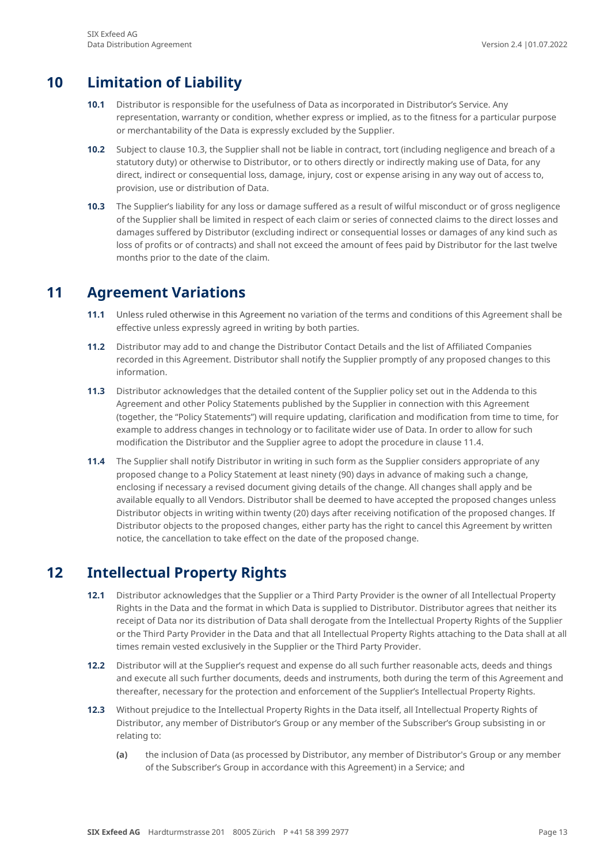## **10 Limitation of Liability**

- <span id="page-12-0"></span>**10.1** Distributor is responsible for the usefulness of Data as incorporated in Distributor's Service. Any representation, warranty or condition, whether express or implied, as to the fitness for a particular purpose or merchantability of the Data is expressly excluded by the Supplier.
- **10.2** Subject to clause 10.3, the Supplier shall not be liable in contract, tort (including negligence and breach of a statutory duty) or otherwise to Distributor, or to others directly or indirectly making use of Data, for any direct, indirect or consequential loss, damage, injury, cost or expense arising in any way out of access to, provision, use or distribution of Data.
- **10.3** The Supplier's liability for any loss or damage suffered as a result of wilful misconduct or of gross negligence of the Supplier shall be limited in respect of each claim or series of connected claims to the direct losses and damages suffered by Distributor (excluding indirect or consequential losses or damages of any kind such as loss of profits or of contracts) and shall not exceed the amount of fees paid by Distributor for the last twelve months prior to the date of the claim.

### **11 Agreement Variations**

- <span id="page-12-1"></span>**11.1** Unless ruled otherwise in this Agreement no variation of the terms and conditions of this Agreement shall be effective unless expressly agreed in writing by both parties.
- **11.2** Distributor may add to and change the Distributor Contact Details and the list of Affiliated Companies recorded in this Agreement. Distributor shall notify the Supplier promptly of any proposed changes to this information.
- **11.3** Distributor acknowledges that the detailed content of the Supplier policy set out in the Addenda to this Agreement and other Policy Statements published by the Supplier in connection with this Agreement (together, the "Policy Statements") will require updating, clarification and modification from time to time, for example to address changes in technology or to facilitate wider use of Data. In order to allow for such modification the Distributor and the Supplier agree to adopt the procedure in clause 11.4.
- **11.4** The Supplier shall notify Distributor in writing in such form as the Supplier considers appropriate of any proposed change to a Policy Statement at least ninety (90) days in advance of making such a change, enclosing if necessary a revised document giving details of the change. All changes shall apply and be available equally to all Vendors. Distributor shall be deemed to have accepted the proposed changes unless Distributor objects in writing within twenty (20) days after receiving notification of the proposed changes. If Distributor objects to the proposed changes, either party has the right to cancel this Agreement by written notice, the cancellation to take effect on the date of the proposed change.

### <span id="page-12-2"></span>**12 Intellectual Property Rights**

- **12.1** Distributor acknowledges that the Supplier or a Third Party Provider is the owner of all Intellectual Property Rights in the Data and the format in which Data is supplied to Distributor. Distributor agrees that neither its receipt of Data nor its distribution of Data shall derogate from the Intellectual Property Rights of the Supplier or the Third Party Provider in the Data and that all Intellectual Property Rights attaching to the Data shall at all times remain vested exclusively in the Supplier or the Third Party Provider.
- **12.2** Distributor will at the Supplier's request and expense do all such further reasonable acts, deeds and things and execute all such further documents, deeds and instruments, both during the term of this Agreement and thereafter, necessary for the protection and enforcement of the Supplier's Intellectual Property Rights.
- **12.3** Without prejudice to the Intellectual Property Rights in the Data itself, all Intellectual Property Rights of Distributor, any member of Distributor's Group or any member of the Subscriber's Group subsisting in or relating to:
	- **(a)** the inclusion of Data (as processed by Distributor, any member of Distributor's Group or any member of the Subscriber's Group in accordance with this Agreement) in a Service; and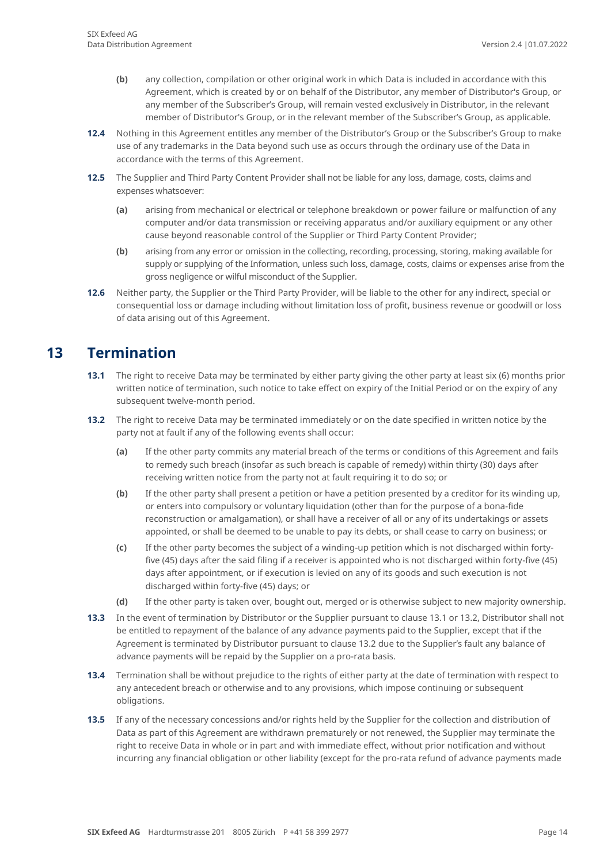- **(b)** any collection, compilation or other original work in which Data is included in accordance with this Agreement, which is created by or on behalf of the Distributor, any member of Distributor's Group, or any member of the Subscriber's Group, will remain vested exclusively in Distributor, in the relevant member of Distributor's Group, or in the relevant member of the Subscriber's Group, as applicable.
- **12.4** Nothing in this Agreement entitles any member of the Distributor's Group or the Subscriber's Group to make use of any trademarks in the Data beyond such use as occurs through the ordinary use of the Data in accordance with the terms of this Agreement.
- **12.5** The Supplier and Third Party Content Provider shall not be liable for any loss, damage, costs, claims and expenses whatsoever:
	- **(a)** arising from mechanical or electrical or telephone breakdown or power failure or malfunction of any computer and/or data transmission or receiving apparatus and/or auxiliary equipment or any other cause beyond reasonable control of the Supplier or Third Party Content Provider;
	- **(b)** arising from any error or omission in the collecting, recording, processing, storing, making available for supply or supplying of the Information, unless such loss, damage, costs, claims or expenses arise from the gross negligence or wilful misconduct of the Supplier.
- **12.6** Neither party, the Supplier or the Third Party Provider, will be liable to the other for any indirect, special or consequential loss or damage including without limitation loss of profit, business revenue or goodwill or loss of data arising out of this Agreement.

## **13 Termination**

- <span id="page-13-0"></span>**13.1** The right to receive Data may be terminated by either party giving the other party at least six (6) months prior written notice of termination, such notice to take effect on expiry of the Initial Period or on the expiry of any subsequent twelve-month period.
- **13.2** The right to receive Data may be terminated immediately or on the date specified in written notice by the party not at fault if any of the following events shall occur:
	- **(a)** If the other party commits any material breach of the terms or conditions of this Agreement and fails to remedy such breach (insofar as such breach is capable of remedy) within thirty (30) days after receiving written notice from the party not at fault requiring it to do so; or
	- **(b)** If the other party shall present a petition or have a petition presented by a creditor for its winding up, or enters into compulsory or voluntary liquidation (other than for the purpose of a bona-fide reconstruction or amalgamation), or shall have a receiver of all or any of its undertakings or assets appointed, or shall be deemed to be unable to pay its debts, or shall cease to carry on business; or
	- **(c)** If the other party becomes the subject of a winding-up petition which is not discharged within fortyfive (45) days after the said filing if a receiver is appointed who is not discharged within forty-five (45) days after appointment, or if execution is levied on any of its goods and such execution is not discharged within forty-five (45) days; or
	- **(d)** If the other party is taken over, bought out, merged or is otherwise subject to new majority ownership.
- **13.3** In the event of termination by Distributor or the Supplier pursuant to clause 13.1 or 13.2, Distributor shall not be entitled to repayment of the balance of any advance payments paid to the Supplier, except that if the Agreement is terminated by Distributor pursuant to clause 13.2 due to the Supplier's fault any balance of advance payments will be repaid by the Supplier on a pro-rata basis.
- **13.4** Termination shall be without prejudice to the rights of either party at the date of termination with respect to any antecedent breach or otherwise and to any provisions, which impose continuing or subsequent obligations.
- **13.5** If any of the necessary concessions and/or rights held by the Supplier for the collection and distribution of Data as part of this Agreement are withdrawn prematurely or not renewed, the Supplier may terminate the right to receive Data in whole or in part and with immediate effect, without prior notification and without incurring any financial obligation or other liability (except for the pro-rata refund of advance payments made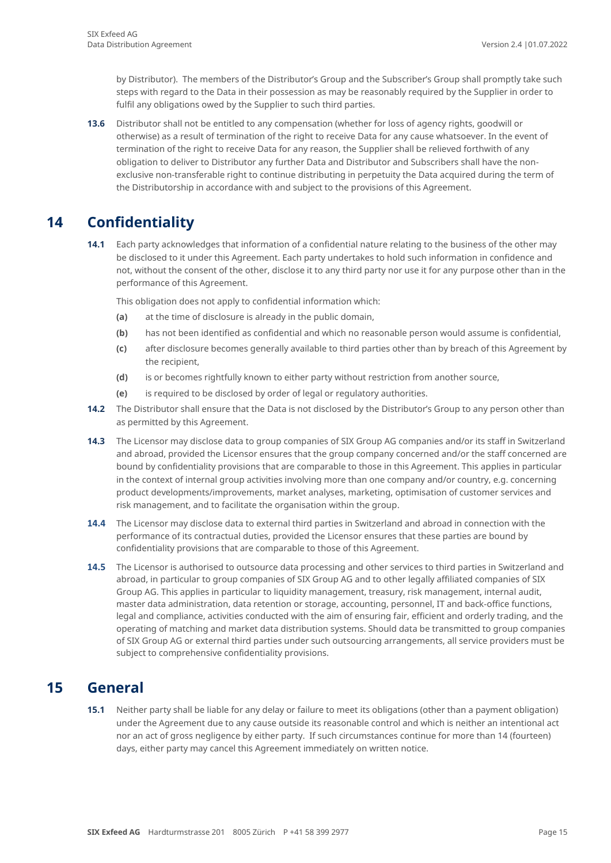by Distributor). The members of the Distributor's Group and the Subscriber's Group shall promptly take such steps with regard to the Data in their possession as may be reasonably required by the Supplier in order to fulfil any obligations owed by the Supplier to such third parties.

**13.6** Distributor shall not be entitled to any compensation (whether for loss of agency rights, goodwill or otherwise) as a result of termination of the right to receive Data for any cause whatsoever. In the event of termination of the right to receive Data for any reason, the Supplier shall be relieved forthwith of any obligation to deliver to Distributor any further Data and Distributor and Subscribers shall have the nonexclusive non-transferable right to continue distributing in perpetuity the Data acquired during the term of the Distributorship in accordance with and subject to the provisions of this Agreement.

### **14 Confidentiality**

<span id="page-14-0"></span>**14.1** Each party acknowledges that information of a confidential nature relating to the business of the other may be disclosed to it under this Agreement. Each party undertakes to hold such information in confidence and not, without the consent of the other, disclose it to any third party nor use it for any purpose other than in the performance of this Agreement.

This obligation does not apply to confidential information which:

- **(a)** at the time of disclosure is already in the public domain,
- **(b)** has not been identified as confidential and which no reasonable person would assume is confidential,
- **(c)** after disclosure becomes generally available to third parties other than by breach of this Agreement by the recipient,
- **(d)** is or becomes rightfully known to either party without restriction from another source,
- **(e)** is required to be disclosed by order of legal or regulatory authorities.
- **14.2** The Distributor shall ensure that the Data is not disclosed by the Distributor's Group to any person other than as permitted by this Agreement.
- **14.3** The Licensor may disclose data to group companies of SIX Group AG companies and/or its staff in Switzerland and abroad, provided the Licensor ensures that the group company concerned and/or the staff concerned are bound by confidentiality provisions that are comparable to those in this Agreement. This applies in particular in the context of internal group activities involving more than one company and/or country, e.g. concerning product developments/improvements, market analyses, marketing, optimisation of customer services and risk management, and to facilitate the organisation within the group.
- **14.4** The Licensor may disclose data to external third parties in Switzerland and abroad in connection with the performance of its contractual duties, provided the Licensor ensures that these parties are bound by confidentiality provisions that are comparable to those of this Agreement.
- **14.5** The Licensor is authorised to outsource data processing and other services to third parties in Switzerland and abroad, in particular to group companies of SIX Group AG and to other legally affiliated companies of SIX Group AG. This applies in particular to liquidity management, treasury, risk management, internal audit, master data administration, data retention or storage, accounting, personnel, IT and back-office functions, legal and compliance, activities conducted with the aim of ensuring fair, efficient and orderly trading, and the operating of matching and market data distribution systems. Should data be transmitted to group companies of SIX Group AG or external third parties under such outsourcing arrangements, all service providers must be subject to comprehensive confidentiality provisions.

### <span id="page-14-1"></span>**15 General**

**15.1** Neither party shall be liable for any delay or failure to meet its obligations (other than a payment obligation) under the Agreement due to any cause outside its reasonable control and which is neither an intentional act nor an act of gross negligence by either party. If such circumstances continue for more than 14 (fourteen) days, either party may cancel this Agreement immediately on written notice.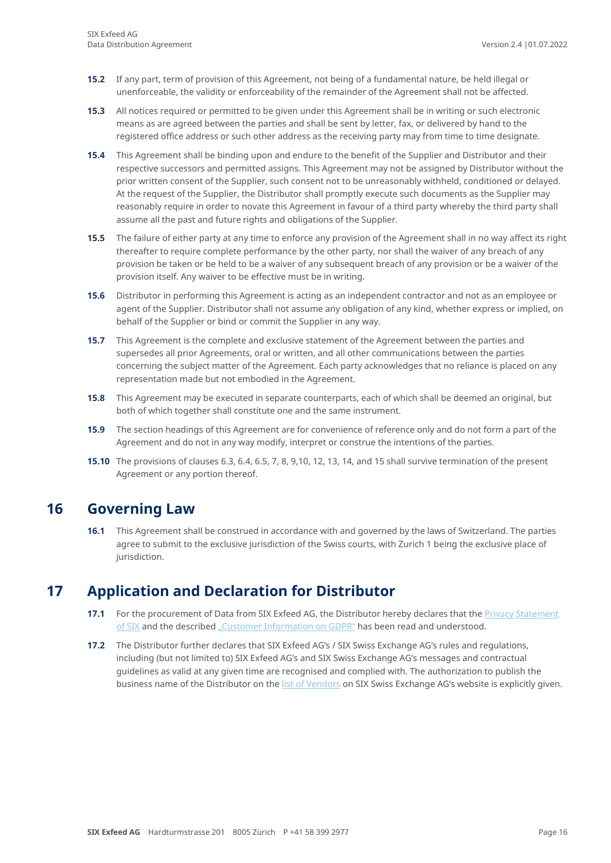- **15.2** If any part, term of provision of this Agreement, not being of a fundamental nature, be held illegal or unenforceable, the validity or enforceability of the remainder of the Agreement shall not be affected.
- **15.3** All notices required or permitted to be given under this Agreement shall be in writing or such electronic means as are agreed between the parties and shall be sent by letter, fax, or delivered by hand to the registered office address or such other address as the receiving party may from time to time designate.
- **15.4** This Agreement shall be binding upon and endure to the benefit of the Supplier and Distributor and their respective successors and permitted assigns. This Agreement may not be assigned by Distributor without the prior written consent of the Supplier, such consent not to be unreasonably withheld, conditioned or delayed. At the request of the Supplier, the Distributor shall promptly execute such documents as the Supplier may reasonably require in order to novate this Agreement in favour of a third party whereby the third party shall assume all the past and future rights and obligations of the Supplier.
- **15.5** The failure of either party at any time to enforce any provision of the Agreement shall in no way affect its right thereafter to require complete performance by the other party, nor shall the waiver of any breach of any provision be taken or be held to be a waiver of any subsequent breach of any provision or be a waiver of the provision itself. Any waiver to be effective must be in writing.
- **15.6** Distributor in performing this Agreement is acting as an independent contractor and not as an employee or agent of the Supplier. Distributor shall not assume any obligation of any kind, whether express or implied, on behalf of the Supplier or bind or commit the Supplier in any way.
- **15.7** This Agreement is the complete and exclusive statement of the Agreement between the parties and supersedes all prior Agreements, oral or written, and all other communications between the parties concerning the subject matter of the Agreement. Each party acknowledges that no reliance is placed on any representation made but not embodied in the Agreement.
- **15.8** This Agreement may be executed in separate counterparts, each of which shall be deemed an original, but both of which together shall constitute one and the same instrument.
- **15.9** The section headings of this Agreement are for convenience of reference only and do not form a part of the Agreement and do not in any way modify, interpret or construe the intentions of the parties.
- <span id="page-15-0"></span>**15.10** The provisions of clauses 6.3, 6.4, 6.5, 7, 8, 9,10, 12, 13, 14, and 15 shall survive termination of the present Agreement or any portion thereof.

### **16 Governing Law**

**16.1** This Agreement shall be construed in accordance with and governed by the laws of Switzerland. The parties agree to submit to the exclusive jurisdiction of the Swiss courts, with Zurich 1 being the exclusive place of jurisdiction.

### <span id="page-15-1"></span>**17 Application and Declaration for Distributor**

- **17.1** For the procurement of Data from SIX Exfeed AG, the Distributor hereby declares that the Privacy Statement [of SIX](https://www.six-group.com/en/services/legal/privacy-statement.html) and the described ["Customer Information on GDPR"](https://www.six-group.com/en/services/gdpr/customer-information-on-data-protection-se.html) has been read and understood.
- **17.2** The Distributor further declares that SIX Exfeed AG's / SIX Swiss Exchange AG's rules and regulations, including (but not limited to) SIX Exfeed AG's and SIX Swiss Exchange AG's messages and contractual guidelines as valid at any given time are recognised and complied with. The authorization to publish the business name of the Distributor on th[e list of Vendors](https://www.six-group.com/en/products-services/the-swiss-stock-exchange/market-data/data-services.html#vendor-list) on SIX Swiss Exchange AG's website is explicitly given.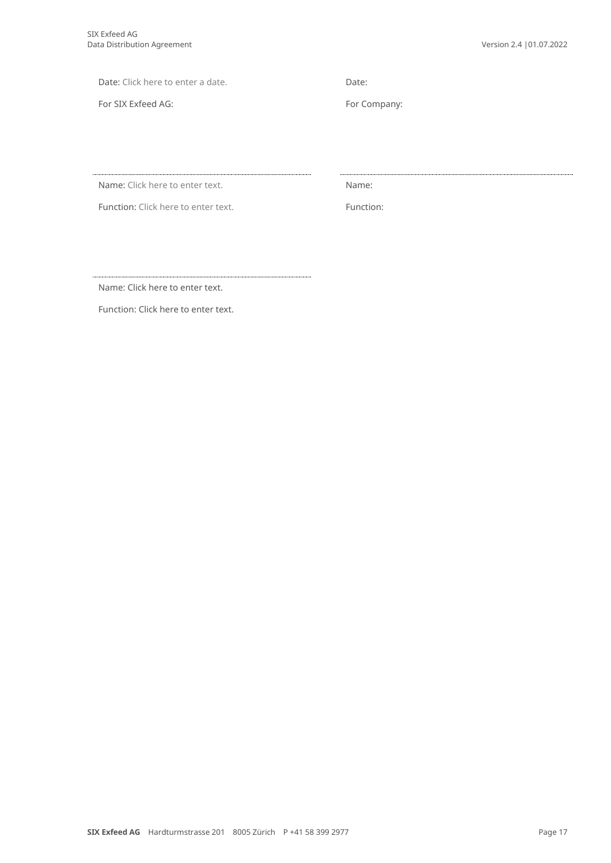Date: Click here to enter a date. Date:

For SIX Exfeed AG: For Company:

Name: Click here to enter text. Name: Name:

Function: Click here to enter text. Function:

Name: Click here to enter text.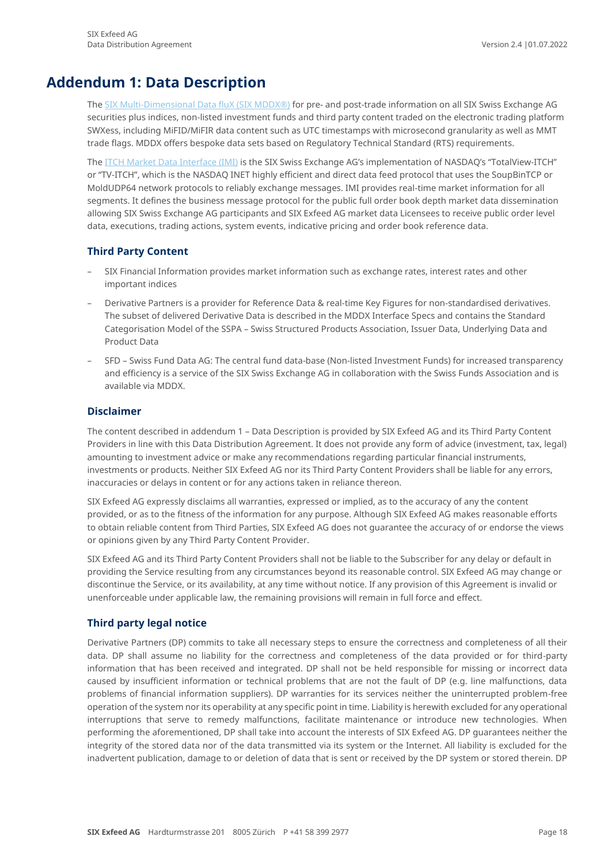## **Addendum 1: Data Description**

<span id="page-17-0"></span>The [SIX Multi-Dimensional Data fluX \(SIX MDDX®\)](https://www.six-group.com/exchanges/market_data/data_services/mddx_en.html) for pre- and post-trade information on all SIX Swiss Exchange AG securities plus indices, non-listed investment funds and third party content traded on the electronic trading platform SWXess, including MiFID/MiFIR data content such as UTC timestamps with microsecond granularity as well as MMT trade flags. MDDX offers bespoke data sets based on Regulatory Technical Standard (RTS) requirements.

The [ITCH Market Data Interface \(IMI\)](https://www.six-group.com/exchanges/market_data/data_services/itch_mdi_en.html) is the SIX Swiss Exchange AG's implementation of NASDAQ's "TotalView-ITCH" or "TV-ITCH", which is the NASDAQ INET highly efficient and direct data feed protocol that uses the SoupBinTCP or MoldUDP64 network protocols to reliably exchange messages. IMI provides real-time market information for all segments. It defines the business message protocol for the public full order book depth market data dissemination allowing SIX Swiss Exchange AG participants and SIX Exfeed AG market data Licensees to receive public order level data, executions, trading actions, system events, indicative pricing and order book reference data.

### **Third Party Content**

- SIX Financial Information provides market information such as exchange rates, interest rates and other important indices
- Derivative Partners is a provider for Reference Data & real-time Key Figures for non-standardised derivatives. The subset of delivered Derivative Data is described in the MDDX Interface Specs and contains the Standard Categorisation Model of the SSPA – Swiss Structured Products Association, Issuer Data, Underlying Data and Product Data
- SFD Swiss Fund Data AG: The central fund data-base (Non-listed Investment Funds) for increased transparency and efficiency is a service of the SIX Swiss Exchange AG in collaboration with the Swiss Funds Association and is available via MDDX.

### **Disclaimer**

The content described in addendum 1 – Data Description is provided by SIX Exfeed AG and its Third Party Content Providers in line with this Data Distribution Agreement. It does not provide any form of advice (investment, tax, legal) amounting to investment advice or make any recommendations regarding particular financial instruments, investments or products. Neither SIX Exfeed AG nor its Third Party Content Providers shall be liable for any errors, inaccuracies or delays in content or for any actions taken in reliance thereon.

SIX Exfeed AG expressly disclaims all warranties, expressed or implied, as to the accuracy of any the content provided, or as to the fitness of the information for any purpose. Although SIX Exfeed AG makes reasonable efforts to obtain reliable content from Third Parties, SIX Exfeed AG does not guarantee the accuracy of or endorse the views or opinions given by any Third Party Content Provider.

SIX Exfeed AG and its Third Party Content Providers shall not be liable to the Subscriber for any delay or default in providing the Service resulting from any circumstances beyond its reasonable control. SIX Exfeed AG may change or discontinue the Service, or its availability, at any time without notice. If any provision of this Agreement is invalid or unenforceable under applicable law, the remaining provisions will remain in full force and effect.

### **Third party legal notice**

Derivative Partners (DP) commits to take all necessary steps to ensure the correctness and completeness of all their data. DP shall assume no liability for the correctness and completeness of the data provided or for third-party information that has been received and integrated. DP shall not be held responsible for missing or incorrect data caused by insufficient information or technical problems that are not the fault of DP (e.g. line malfunctions, data problems of financial information suppliers). DP warranties for its services neither the uninterrupted problem-free operation of the system nor its operability at any specific point in time. Liability is herewith excluded for any operational interruptions that serve to remedy malfunctions, facilitate maintenance or introduce new technologies. When performing the aforementioned, DP shall take into account the interests of SIX Exfeed AG. DP guarantees neither the integrity of the stored data nor of the data transmitted via its system or the Internet. All liability is excluded for the inadvertent publication, damage to or deletion of data that is sent or received by the DP system or stored therein. DP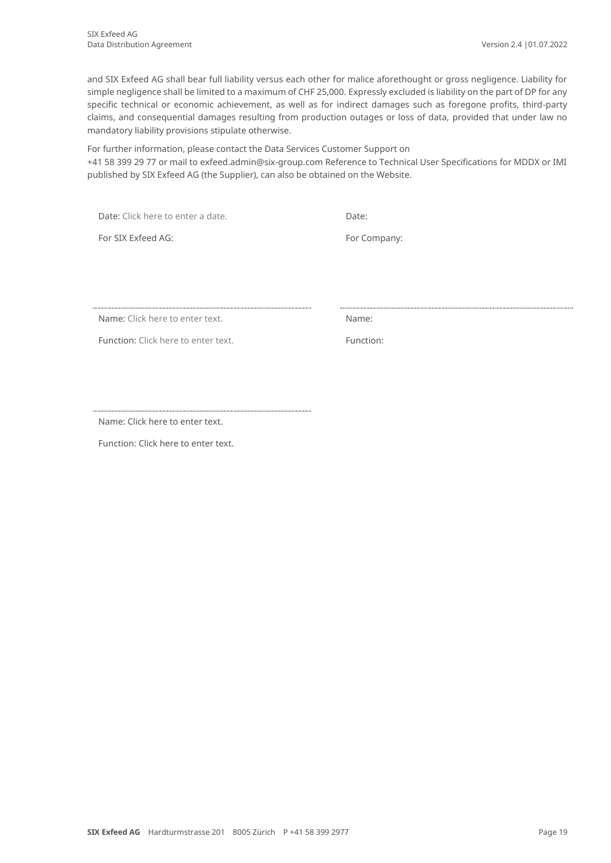and SIX Exfeed AG shall bear full liability versus each other for malice aforethought or gross negligence. Liability for simple negligence shall be limited to a maximum of CHF 25,000. Expressly excluded is liability on the part of DP for any specific technical or economic achievement, as well as for indirect damages such as foregone profits, third-party claims, and consequential damages resulting from production outages or loss of data, provided that under law no mandatory liability provisions stipulate otherwise.

For further information, please contact the Data Services Customer Support on +41 58 399 29 77 or mail to exfeed.admin@six-group.com Reference to Technical User Specifications for MDDX or IMI published by SIX Exfeed AG (the Supplier), can also be obtained on the Website.

Date: Click here to enter a date. Date:

For SIX Exfeed AG: For Company:

Name: Click here to enter text. Name: Name:

Function: Click here to enter text. Function:

Name: Click here to enter text.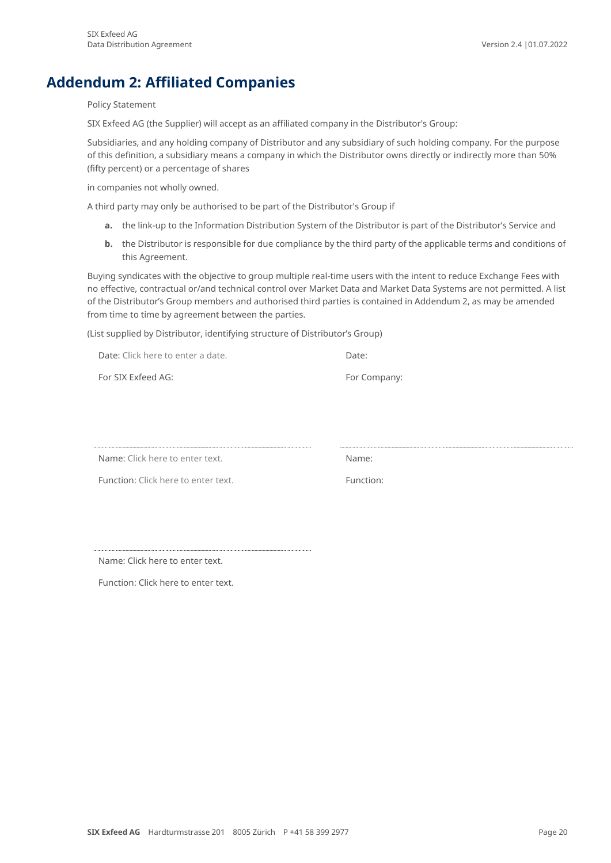## **Addendum 2: Affiliated Companies**

<span id="page-19-0"></span>Policy Statement

SIX Exfeed AG (the Supplier) will accept as an affiliated company in the Distributor's Group:

Subsidiaries, and any holding company of Distributor and any subsidiary of such holding company. For the purpose of this definition, a subsidiary means a company in which the Distributor owns directly or indirectly more than 50% (fifty percent) or a percentage of shares

in companies not wholly owned.

A third party may only be authorised to be part of the Distributor's Group if

- **a.** the link-up to the Information Distribution System of the Distributor is part of the Distributor's Service and
- **b.** the Distributor is responsible for due compliance by the third party of the applicable terms and conditions of this Agreement.

Buying syndicates with the objective to group multiple real-time users with the intent to reduce Exchange Fees with no effective, contractual or/and technical control over Market Data and Market Data Systems are not permitted. A list of the Distributor's Group members and authorised third parties is contained in Addendum 2, as may be amended from time to time by agreement between the parties.

(List supplied by Distributor, identifying structure of Distributor's Group)

Date: Click here to enter a date. For SIX Exfeed AG: For Company:

Name: Click here to enter text. Name: Name:

Function: Click here to enter text. The state of the Function:

Name: Click here to enter text.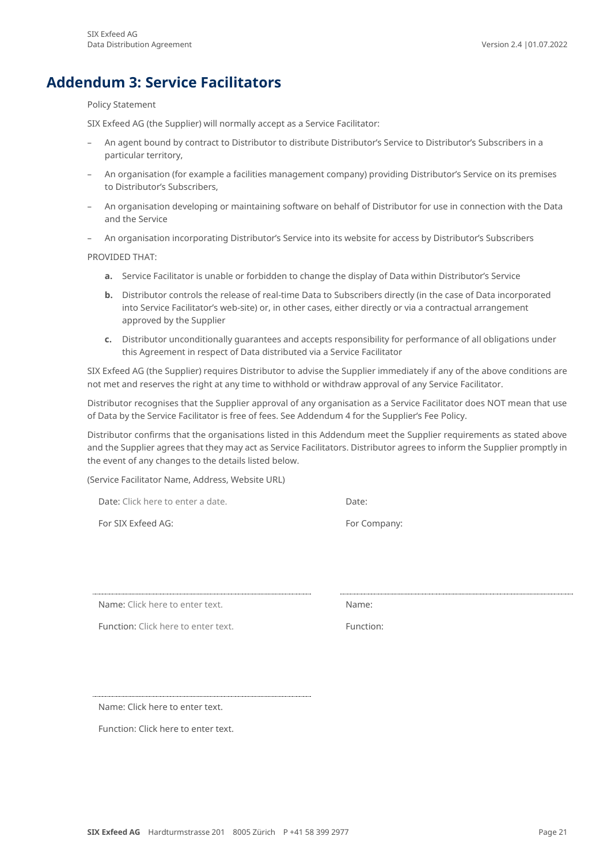## **Addendum 3: Service Facilitators**

#### <span id="page-20-0"></span>Policy Statement

SIX Exfeed AG (the Supplier) will normally accept as a Service Facilitator:

- An agent bound by contract to Distributor to distribute Distributor's Service to Distributor's Subscribers in a particular territory,
- An organisation (for example a facilities management company) providing Distributor's Service on its premises to Distributor's Subscribers,
- An organisation developing or maintaining software on behalf of Distributor for use in connection with the Data and the Service
- An organisation incorporating Distributor's Service into its website for access by Distributor's Subscribers

PROVIDED THAT:

- **a.** Service Facilitator is unable or forbidden to change the display of Data within Distributor's Service
- **b.** Distributor controls the release of real-time Data to Subscribers directly (in the case of Data incorporated into Service Facilitator's web-site) or, in other cases, either directly or via a contractual arrangement approved by the Supplier
- **c.** Distributor unconditionally guarantees and accepts responsibility for performance of all obligations under this Agreement in respect of Data distributed via a Service Facilitator

SIX Exfeed AG (the Supplier) requires Distributor to advise the Supplier immediately if any of the above conditions are not met and reserves the right at any time to withhold or withdraw approval of any Service Facilitator.

Distributor recognises that the Supplier approval of any organisation as a Service Facilitator does NOT mean that use of Data by the Service Facilitator is free of fees. See Addendum 4 for the Supplier's Fee Policy.

Distributor confirms that the organisations listed in this Addendum meet the Supplier requirements as stated above and the Supplier agrees that they may act as Service Facilitators. Distributor agrees to inform the Supplier promptly in the event of any changes to the details listed below.

(Service Facilitator Name, Address, Website URL)

Date: Click here to enter a date.

For SIX Exfeed AG: For Company:

Name: Click here to enter text.

Function: Click here to enter text. The summer of the Function:

Name: Click here to enter text.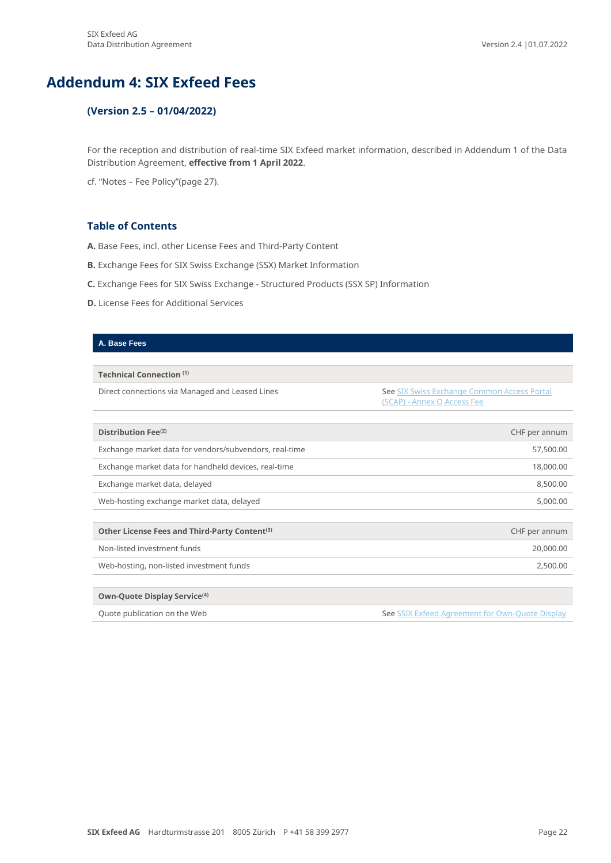## **Addendum 4: SIX Exfeed Fees**

### <span id="page-21-0"></span>**(Version 2.5 – 01/04/2022)**

For the reception and distribution of real-time SIX Exfeed market information, described in Addendum 1 of the Data Distribution Agreement, **effective from 1 April 2022**.

cf. "Notes – Fee Policy"(page 27).

### **Table of Contents**

- **A.** Base Fees, incl. other License Fees and Third-Party Content
- **B.** Exchange Fees for SIX Swiss Exchange (SSX) Market Information
- **C.** Exchange Fees for SIX Swiss Exchange Structured Products (SSX SP) Information
- **D.** License Fees for Additional Services

#### **A. Base Fees**

**Technical Connection (1)**

Direct connections via Managed and Leased Lines See SIX Swiss Exchange Common Access Portal (SCAP) - [Annex O Access Fee](https://www.ser-ag.com/dam/downloads/regulation/trading/directives/LOC-TR-de.pdf#page=51)

| Distribution Fee <sup>(2)</sup>                           | CHF per annum |
|-----------------------------------------------------------|---------------|
| Exchange market data for vendors/subvendors, real-time    | 57,500.00     |
| Exchange market data for handheld devices, real-time      | 18,000.00     |
| Exchange market data, delayed                             | 8,500.00      |
| Web-hosting exchange market data, delayed                 | 5,000.00      |
|                                                           |               |
| Other License Fees and Third-Party Content <sup>(3)</sup> | CHF per annum |
| Non-listed investment funds                               | 20,000.00     |
| Web-hosting, non-listed investment funds                  | 2,500.00      |
|                                                           |               |
| Own-Quote Display Service <sup>(4)</sup>                  |               |

Quote publication on the Web Se[e SSIX Exfeed Agreement for Own-Quote Display](https://www.six-group.com/exchanges/download/market/data_services/service_agreement.doc)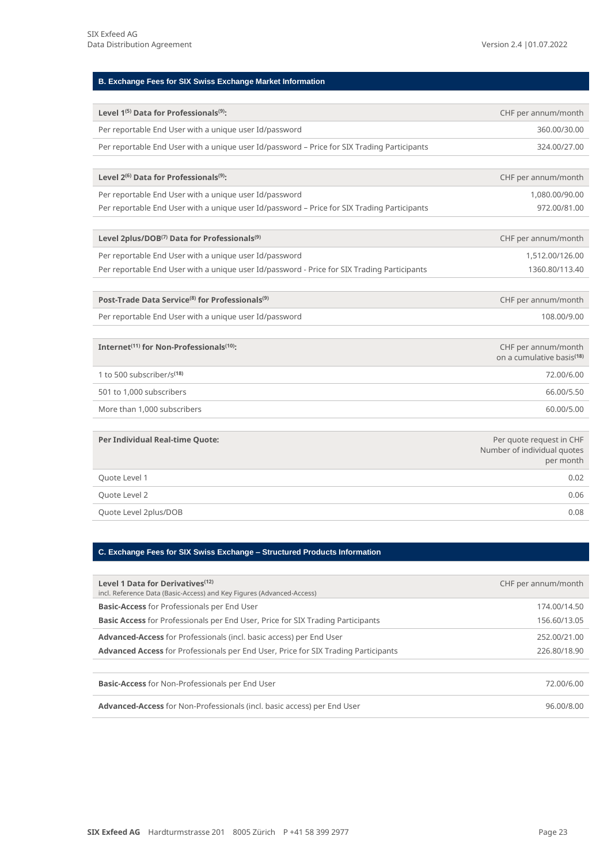### **B. Exchange Fees for SIX Swiss Exchange Market Information**

| Level 1 <sup>(5)</sup> Data for Professionals <sup>(9)</sup> :                              | CHF per annum/month                                                  |
|---------------------------------------------------------------------------------------------|----------------------------------------------------------------------|
| Per reportable End User with a unique user Id/password                                      | 360.00/30.00                                                         |
| Per reportable End User with a unique user Id/password - Price for SIX Trading Participants | 324.00/27.00                                                         |
|                                                                                             |                                                                      |
| Level 2 <sup>(6)</sup> Data for Professionals <sup>(9)</sup> :                              | CHF per annum/month                                                  |
| Per reportable End User with a unique user Id/password                                      | 1,080.00/90.00                                                       |
| Per reportable End User with a unique user Id/password - Price for SIX Trading Participants | 972.00/81.00                                                         |
|                                                                                             |                                                                      |
| Level 2plus/DOB <sup>(7)</sup> Data for Professionals <sup>(9)</sup>                        | CHF per annum/month                                                  |
| Per reportable End User with a unique user Id/password                                      | 1,512.00/126.00                                                      |
| Per reportable End User with a unique user Id/password - Price for SIX Trading Participants | 1360.80/113.40                                                       |
|                                                                                             |                                                                      |
| Post-Trade Data Service <sup>(8)</sup> for Professionals <sup>(9)</sup>                     | CHF per annum/month                                                  |
| Per reportable End User with a unique user Id/password                                      | 108.00/9.00                                                          |
|                                                                                             |                                                                      |
| Internet <sup>(11)</sup> for Non-Professionals <sup>(10)</sup> :                            | CHF per annum/month<br>on a cumulative basis <sup>(18)</sup>         |
| 1 to 500 subscriber/s <sup>(18)</sup>                                                       | 72.00/6.00                                                           |
| 501 to 1,000 subscribers                                                                    | 66.00/5.50                                                           |
| More than 1,000 subscribers                                                                 | 60.00/5.00                                                           |
|                                                                                             |                                                                      |
| <b>Per Individual Real-time Quote:</b>                                                      | Per quote request in CHF<br>Number of individual quotes<br>per month |
| Quote Level 1                                                                               | 0.02                                                                 |
| Quote Level 2                                                                               | 0.06                                                                 |
| Quote Level 2plus/DOB                                                                       | 0.08                                                                 |

### **C. Exchange Fees for SIX Swiss Exchange – Structured Products Information**

| Level 1 Data for Derivatives <sup>(12)</sup><br>incl. Reference Data (Basic-Access) and Key Figures (Advanced-Access) | CHF per annum/month |
|-----------------------------------------------------------------------------------------------------------------------|---------------------|
| <b>Basic-Access</b> for Professionals per End User                                                                    | 174.00/14.50        |
| <b>Basic Access</b> for Professionals per End User, Price for SIX Trading Participants                                | 156.60/13.05        |
| Advanced-Access for Professionals (incl. basic access) per End User                                                   | 252.00/21.00        |
| <b>Advanced Access</b> for Professionals per End User, Price for SIX Trading Participants                             | 226.80/18.90        |
|                                                                                                                       |                     |
| <b>Basic-Access</b> for Non-Professionals per End User                                                                | 72.00/6.00          |
| <b>Advanced-Access</b> for Non-Professionals (incl. basic access) per End User                                        | 96.00/8.00          |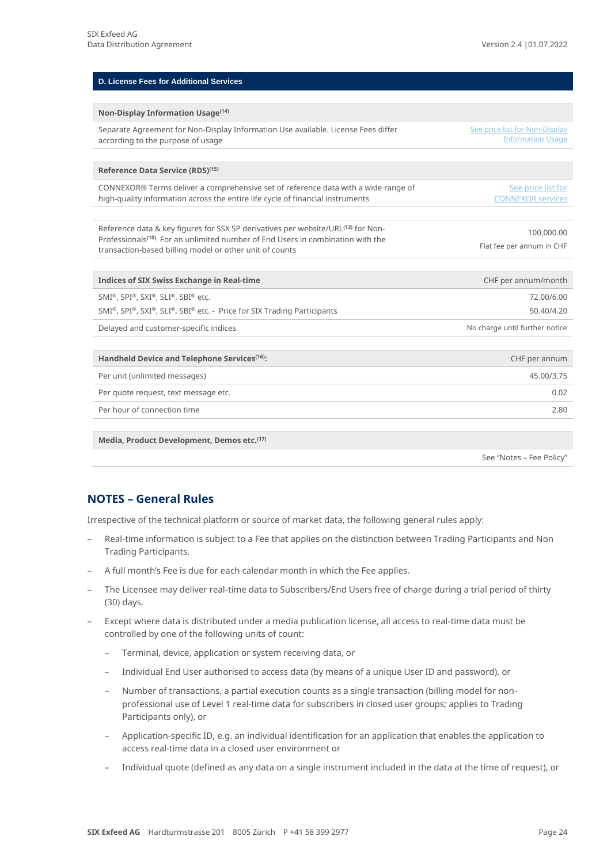| <b>D. License Fees for Additional Services</b>                                                                                                                                                                                                          |                                                            |
|---------------------------------------------------------------------------------------------------------------------------------------------------------------------------------------------------------------------------------------------------------|------------------------------------------------------------|
|                                                                                                                                                                                                                                                         |                                                            |
| Non-Display Information Usage <sup>(14)</sup>                                                                                                                                                                                                           |                                                            |
| Separate Agreement for Non-Display Information Use available. License Fees differ<br>according to the purpose of usage                                                                                                                                  | See price list for Non-Display<br><b>Information Usage</b> |
| Reference Data Service (RDS) <sup>(15)</sup>                                                                                                                                                                                                            |                                                            |
| CONNEXOR® Terms deliver a comprehensive set of reference data with a wide range of<br>high-quality information across the entire life cycle of financial instruments                                                                                    | See price list for<br><b>CONNEXOR services</b>             |
| Reference data & key figures for SSX SP derivatives per website/URL <sup>(13)</sup> for Non-<br>Professionals <sup>(10)</sup> . For an unlimited number of End Users in combination with the<br>transaction-based billing model or other unit of counts | 100,000.00<br>Flat fee per annum in CHF                    |
| <b>Indices of SIX Swiss Exchange in Real-time</b>                                                                                                                                                                                                       | CHF per annum/month                                        |
| SMI®, SPI®, SXI®, SLI®, SBI® etc.                                                                                                                                                                                                                       | 72.00/6.00                                                 |
| SMI®, SPI®, SXI®, SLI®, SBI® etc. - Price for SIX Trading Participants                                                                                                                                                                                  | 50.40/4.20                                                 |
| Delayed and customer-specific indices                                                                                                                                                                                                                   | No charge until further notice                             |
| Handheld Device and Telephone Services <sup>(16)</sup> :                                                                                                                                                                                                | CHF per annum                                              |
| Per unit (unlimited messages)                                                                                                                                                                                                                           | 45.00/3.75                                                 |
| Per quote request, text message etc.                                                                                                                                                                                                                    | 0.02                                                       |
| Per hour of connection time                                                                                                                                                                                                                             | 2.80                                                       |
| Media, Product Development, Demos etc. <sup>(17)</sup>                                                                                                                                                                                                  |                                                            |

See "Notes – Fee Policy"

### **NOTES – General Rules**

Irrespective of the technical platform or source of market data, the following general rules apply:

- Real-time information is subject to a Fee that applies on the distinction between Trading Participants and Non Trading Participants.
- A full month's Fee is due for each calendar month in which the Fee applies.
- The Licensee may deliver real-time data to Subscribers/End Users free of charge during a trial period of thirty (30) days.
- Except where data is distributed under a media publication license, all access to real-time data must be controlled by one of the following units of count:
	- Terminal, device, application or system receiving data, or
	- Individual End User authorised to access data (by means of a unique User ID and password), or
	- Number of transactions, a partial execution counts as a single transaction (billing model for nonprofessional use of Level 1 real-time data for subscribers in closed user groups; applies to Trading Participants only), or
	- Application-specific ID, e.g. an individual identification for an application that enables the application to access real-time data in a closed user environment or
	- Individual quote (defined as any data on a single instrument included in the data at the time of request), or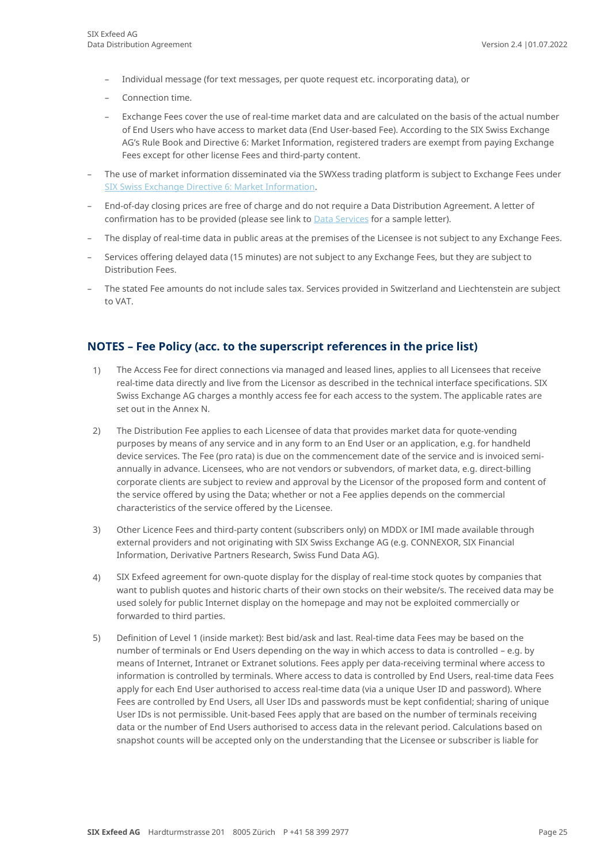- Individual message (for text messages, per quote request etc. incorporating data), or
- Connection time.
- Exchange Fees cover the use of real-time market data and are calculated on the basis of the actual number of End Users who have access to market data (End User-based Fee). According to the SIX Swiss Exchange AG's Rule Book and Directive 6: Market Information, registered traders are exempt from paying Exchange Fees except for other license Fees and third-party content.
- The use of market information disseminated via the SWXess trading platform is subject to Exchange Fees under [SIX Swiss Exchange Directive 6: Market Information.](https://www.ser-ag.com/content/dam/serag/downloads/regulation/trading/directives/DIR06-en.pdf)
- End-of-day closing prices are free of charge and do not require a Data Distribution Agreement. A letter of confirmation has to be provided (please see link to **Data Services** for a sample letter).
- The display of real-time data in public areas at the premises of the Licensee is not subject to any Exchange Fees.
- Services offering delayed data (15 minutes) are not subject to any Exchange Fees, but they are subject to Distribution Fees.
- The stated Fee amounts do not include sales tax. Services provided in Switzerland and Liechtenstein are subject to VAT.

### **NOTES – Fee Policy (acc. to the superscript references in the price list)**

- 1) The Access Fee for direct connections via managed and leased lines, applies to all Licensees that receive real-time data directly and live from the Licensor as described in the technical interface specifications. SIX Swiss Exchange AG charges a monthly access fee for each access to the system. The applicable rates are set out in the Annex N.
- 2) The Distribution Fee applies to each Licensee of data that provides market data for quote-vending purposes by means of any service and in any form to an End User or an application, e.g. for handheld device services. The Fee (pro rata) is due on the commencement date of the service and is invoiced semiannually in advance. Licensees, who are not vendors or subvendors, of market data, e.g. direct-billing corporate clients are subject to review and approval by the Licensor of the proposed form and content of the service offered by using the Data; whether or not a Fee applies depends on the commercial characteristics of the service offered by the Licensee.
- 3) Other Licence Fees and third-party content (subscribers only) on MDDX or IMI made available through external providers and not originating with SIX Swiss Exchange AG (e.g. CONNEXOR, SIX Financial Information, Derivative Partners Research, Swiss Fund Data AG).
- 4) SIX Exfeed agreement for own-quote display for the display of real-time stock quotes by companies that want to publish quotes and historic charts of their own stocks on their website/s. The received data may be used solely for public Internet display on the homepage and may not be exploited commercially or forwarded to third parties.
- 5) Definition of Level 1 (inside market): Best bid/ask and last. Real-time data Fees may be based on the number of terminals or End Users depending on the way in which access to data is controlled – e.g. by means of Internet, Intranet or Extranet solutions. Fees apply per data-receiving terminal where access to information is controlled by terminals. Where access to data is controlled by End Users, real-time data Fees apply for each End User authorised to access real-time data (via a unique User ID and password). Where Fees are controlled by End Users, all User IDs and passwords must be kept confidential; sharing of unique User IDs is not permissible. Unit-based Fees apply that are based on the number of terminals receiving data or the number of End Users authorised to access data in the relevant period. Calculations based on snapshot counts will be accepted only on the understanding that the Licensee or subscriber is liable for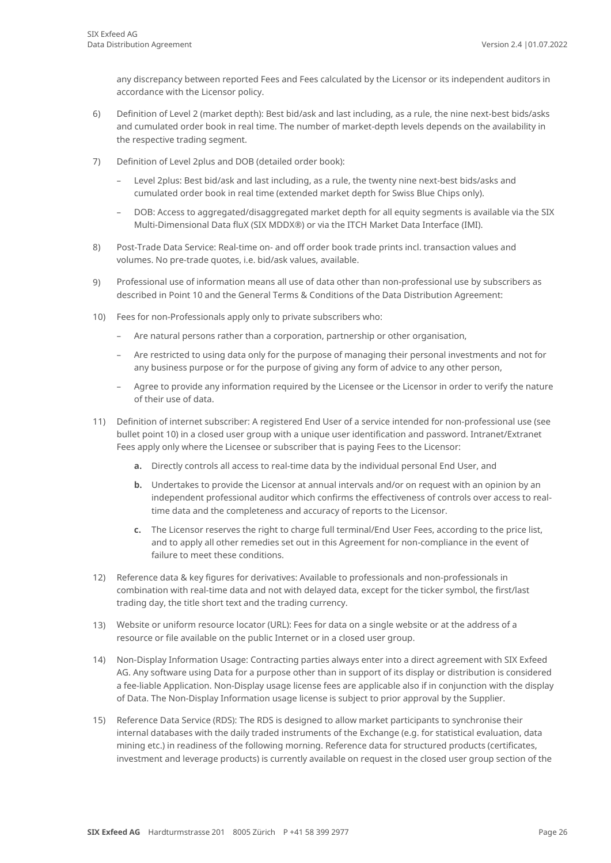any discrepancy between reported Fees and Fees calculated by the Licensor or its independent auditors in accordance with the Licensor policy.

- 6) Definition of Level 2 (market depth): Best bid/ask and last including, as a rule, the nine next-best bids/asks and cumulated order book in real time. The number of market-depth levels depends on the availability in the respective trading segment.
- 7) Definition of Level 2plus and DOB (detailed order book):
	- Level 2plus: Best bid/ask and last including, as a rule, the twenty nine next-best bids/asks and cumulated order book in real time (extended market depth for Swiss Blue Chips only).
	- DOB: Access to aggregated/disaggregated market depth for all equity segments is available via the SIX Multi-Dimensional Data fluX (SIX MDDX®) or via the ITCH Market Data Interface (IMI).
- 8) Post-Trade Data Service: Real-time on- and off order book trade prints incl. transaction values and volumes. No pre-trade quotes, i.e. bid/ask values, available.
- 9) Professional use of information means all use of data other than non-professional use by subscribers as described in Point 10 and the General Terms & Conditions of the Data Distribution Agreement:
- 10) Fees for non-Professionals apply only to private subscribers who:
	- Are natural persons rather than a corporation, partnership or other organisation,
	- Are restricted to using data only for the purpose of managing their personal investments and not for any business purpose or for the purpose of giving any form of advice to any other person,
	- Agree to provide any information required by the Licensee or the Licensor in order to verify the nature of their use of data.
- 11) Definition of internet subscriber: A registered End User of a service intended for non-professional use (see bullet point 10) in a closed user group with a unique user identification and password. Intranet/Extranet Fees apply only where the Licensee or subscriber that is paying Fees to the Licensor:
	- **a.** Directly controls all access to real-time data by the individual personal End User, and
	- **b.** Undertakes to provide the Licensor at annual intervals and/or on request with an opinion by an independent professional auditor which confirms the effectiveness of controls over access to realtime data and the completeness and accuracy of reports to the Licensor.
	- **c.** The Licensor reserves the right to charge full terminal/End User Fees, according to the price list, and to apply all other remedies set out in this Agreement for non-compliance in the event of failure to meet these conditions.
- 12) Reference data & key figures for derivatives: Available to professionals and non-professionals in combination with real-time data and not with delayed data, except for the ticker symbol, the first/last trading day, the title short text and the trading currency.
- 13) Website or uniform resource locator (URL): Fees for data on a single website or at the address of a resource or file available on the public Internet or in a closed user group.
- 14) Non-Display Information Usage: Contracting parties always enter into a direct agreement with SIX Exfeed AG. Any software using Data for a purpose other than in support of its display or distribution is considered a fee-liable Application. Non-Display usage license fees are applicable also if in conjunction with the display of Data. The Non-Display Information usage license is subject to prior approval by the Supplier.
- 15) Reference Data Service (RDS): The RDS is designed to allow market participants to synchronise their internal databases with the daily traded instruments of the Exchange (e.g. for statistical evaluation, data mining etc.) in readiness of the following morning. Reference data for structured products (certificates, investment and leverage products) is currently available on request in the closed user group section of the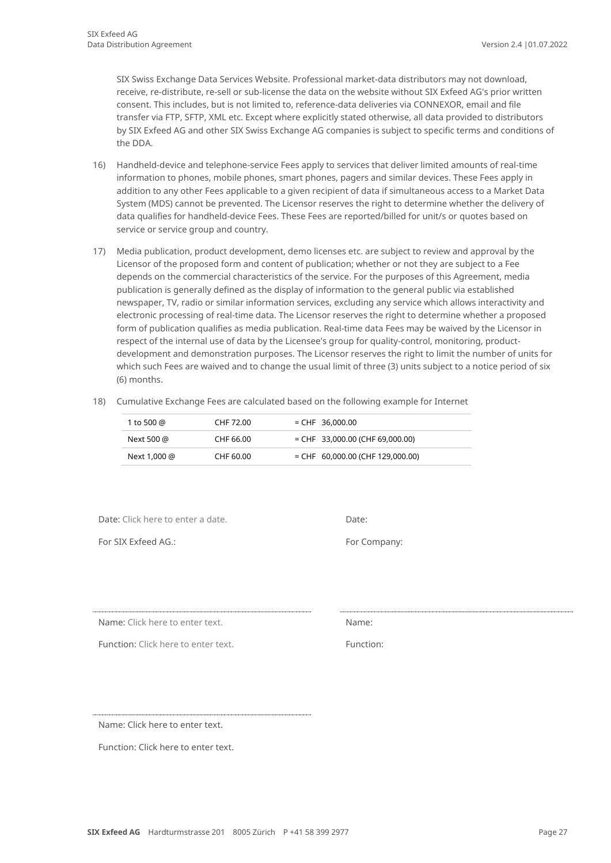SIX Swiss Exchange Data Services Website. Professional market-data distributors may not download, receive, re-distribute, re-sell or sub-license the data on the website without SIX Exfeed AG's prior written consent. This includes, but is not limited to, reference-data deliveries via CONNEXOR, email and file transfer via FTP, SFTP, XML etc. Except where explicitly stated otherwise, all data provided to distributors by SIX Exfeed AG and other SIX Swiss Exchange AG companies is subject to specific terms and conditions of the DDA.

- 16) Handheld-device and telephone-service Fees apply to services that deliver limited amounts of real-time information to phones, mobile phones, smart phones, pagers and similar devices. These Fees apply in addition to any other Fees applicable to a given recipient of data if simultaneous access to a Market Data System (MDS) cannot be prevented. The Licensor reserves the right to determine whether the delivery of data qualifies for handheld-device Fees. These Fees are reported/billed for unit/s or quotes based on service or service group and country.
- 17) Media publication, product development, demo licenses etc. are subject to review and approval by the Licensor of the proposed form and content of publication; whether or not they are subject to a Fee depends on the commercial characteristics of the service. For the purposes of this Agreement, media publication is generally defined as the display of information to the general public via established newspaper, TV, radio or similar information services, excluding any service which allows interactivity and electronic processing of real-time data. The Licensor reserves the right to determine whether a proposed form of publication qualifies as media publication. Real-time data Fees may be waived by the Licensor in respect of the internal use of data by the Licensee's group for quality-control, monitoring, productdevelopment and demonstration purposes. The Licensor reserves the right to limit the number of units for which such Fees are waived and to change the usual limit of three (3) units subject to a notice period of six (6) months.
- 18) Cumulative Exchange Fees are calculated based on the following example for Internet

| 1 to 500 @   | CHF 72.00 | $=$ CHF 36,000.00                  |
|--------------|-----------|------------------------------------|
| Next 500 @   | CHF 66.00 | $=$ CHF 33,000.00 (CHF 69,000.00)  |
| Next 1,000 @ | CHF 60.00 | $=$ CHF 60,000.00 (CHF 129,000.00) |

Date: Click here to enter a date. Date: Date:

For SIX Exfeed AG.: For Company:

Name: Click here to enter text.

Function: Click here to enter text. The state of the Function:

Name: Click here to enter text.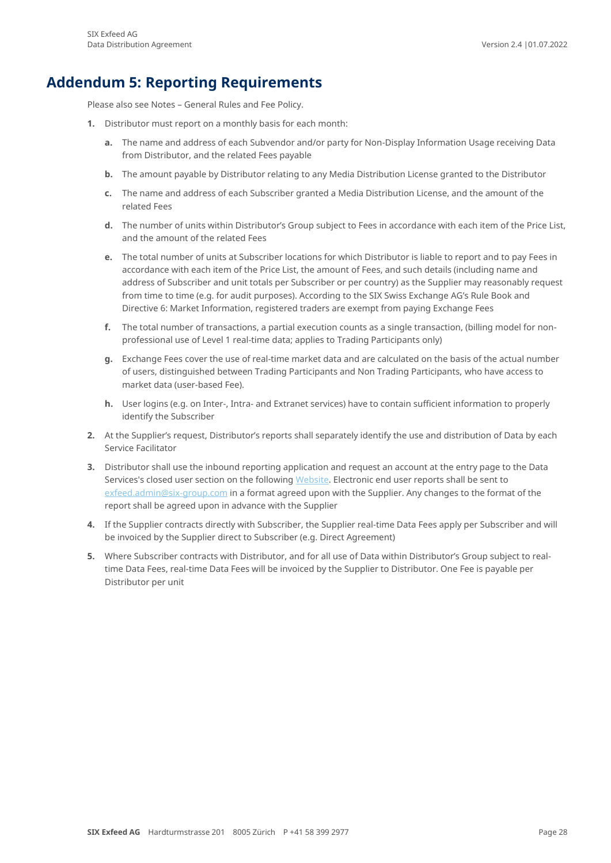### **Addendum 5: Reporting Requirements**

<span id="page-27-0"></span>Please also see Notes – General Rules and Fee Policy.

- **1.** Distributor must report on a monthly basis for each month:
	- **a.** The name and address of each Subvendor and/or party for Non-Display Information Usage receiving Data from Distributor, and the related Fees payable
	- **b.** The amount payable by Distributor relating to any Media Distribution License granted to the Distributor
	- **c.** The name and address of each Subscriber granted a Media Distribution License, and the amount of the related Fees
	- **d.** The number of units within Distributor's Group subject to Fees in accordance with each item of the Price List, and the amount of the related Fees
	- **e.** The total number of units at Subscriber locations for which Distributor is liable to report and to pay Fees in accordance with each item of the Price List, the amount of Fees, and such details (including name and address of Subscriber and unit totals per Subscriber or per country) as the Supplier may reasonably request from time to time (e.g. for audit purposes). According to the SIX Swiss Exchange AG's Rule Book and Directive 6: Market Information, registered traders are exempt from paying Exchange Fees
	- **f.** The total number of transactions, a partial execution counts as a single transaction, (billing model for nonprofessional use of Level 1 real-time data; applies to Trading Participants only)
	- **g.** Exchange Fees cover the use of real-time market data and are calculated on the basis of the actual number of users, distinguished between Trading Participants and Non Trading Participants, who have access to market data (user-based Fee).
	- **h.** User logins (e.g. on Inter-, Intra- and Extranet services) have to contain sufficient information to properly identify the Subscriber
- **2.** At the Supplier's request, Distributor's reports shall separately identify the use and distribution of Data by each Service Facilitator
- **3.** Distributor shall use the inbound reporting application and request an account at the entry page to the Data Services's closed user section on the followin[g Website.](https://www.exfeed.com/client_area/login.html) Electronic end user reports shall be sent to [exfeed.admin@six-group.com](mailto:data-services@six-swiss-exchange.com) in a format agreed upon with the Supplier. Any changes to the format of the report shall be agreed upon in advance with the Supplier
- **4.** If the Supplier contracts directly with Subscriber, the Supplier real-time Data Fees apply per Subscriber and will be invoiced by the Supplier direct to Subscriber (e.g. Direct Agreement)
- **5.** Where Subscriber contracts with Distributor, and for all use of Data within Distributor's Group subject to realtime Data Fees, real-time Data Fees will be invoiced by the Supplier to Distributor. One Fee is payable per Distributor per unit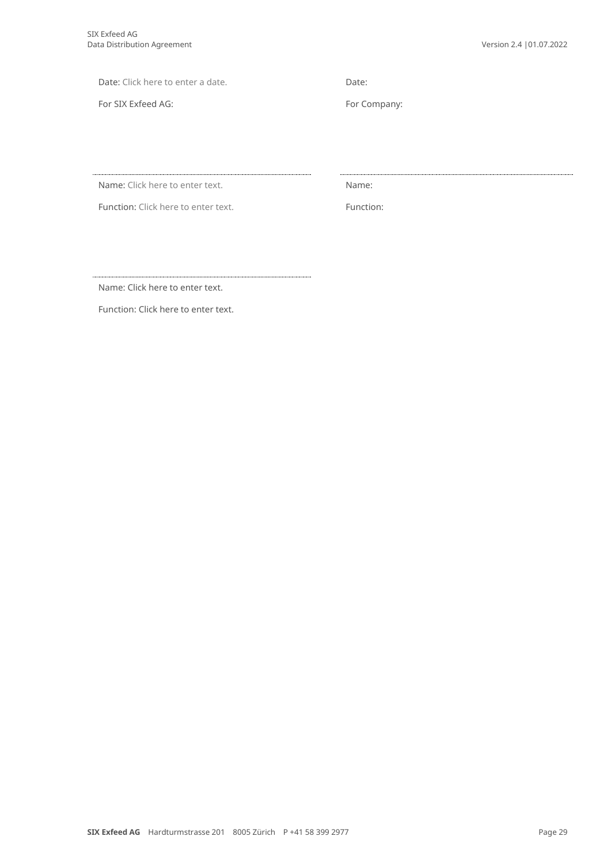Date: Click here to enter a date. Date:

For SIX Exfeed AG: For Company:

Name: Click here to enter text. Name: Name:

Function: Click here to enter text. Function:

Name: Click here to enter text.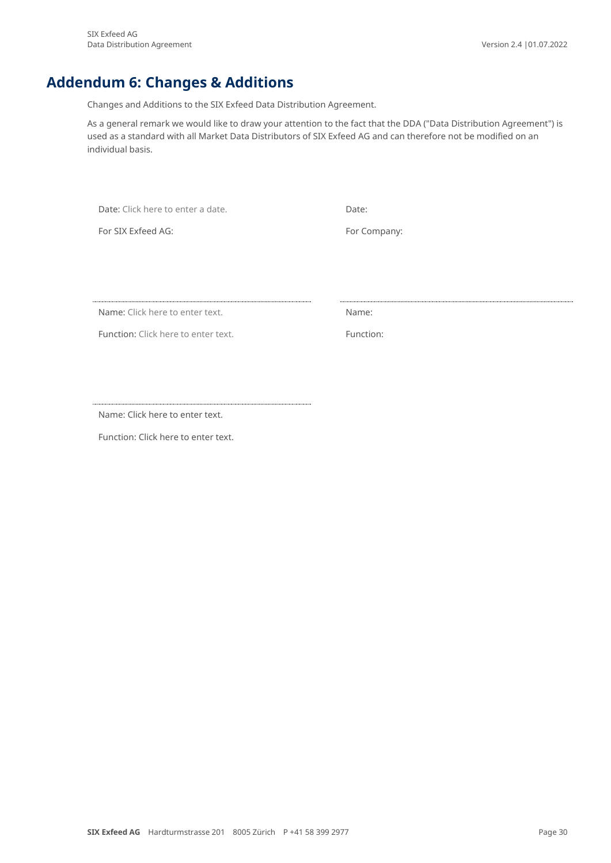## **Addendum 6: Changes & Additions**

<span id="page-29-0"></span>Changes and Additions to the SIX Exfeed Data Distribution Agreement.

As a general remark we would like to draw your attention to the fact that the DDA ("Data Distribution Agreement") is used as a standard with all Market Data Distributors of SIX Exfeed AG and can therefore not be modified on an individual basis.

Date: Click here to enter a date.

For SIX Exfeed AG: For Company:

Name: Click here to enter text.

Function: Click here to enter text. The control of the control of the Function:

Name: Click here to enter text.